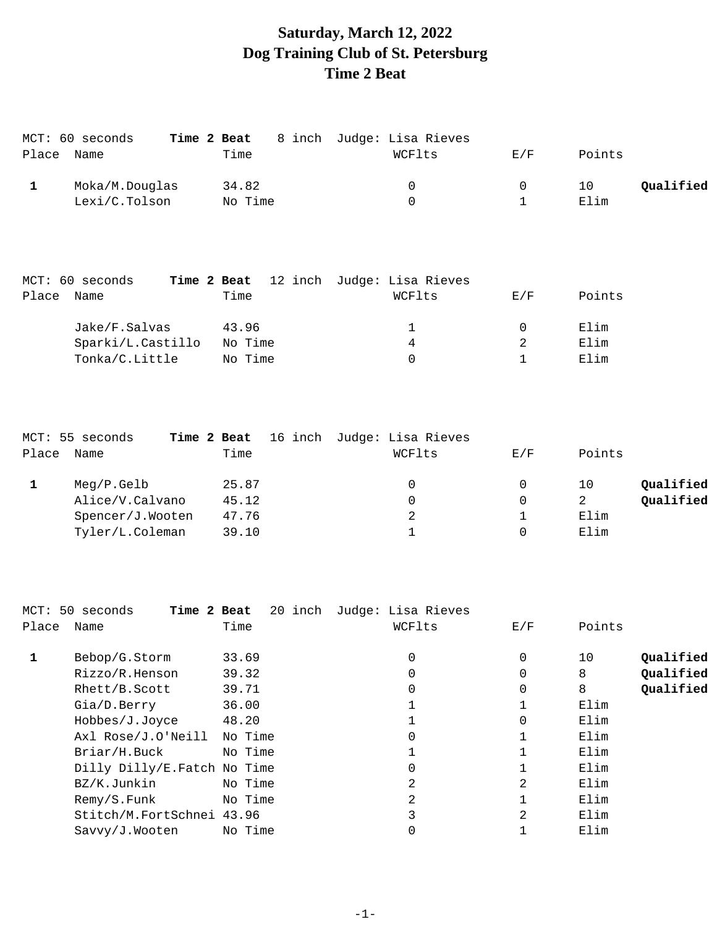# **Saturday, March 12, 2022 Dog Training Club of St. Petersburg Time 2 Beat**

|       | MCT: 60 seconds | Time 2 Beat | 8 inch Judge: Lisa Rieves |        |                 |
|-------|-----------------|-------------|---------------------------|--------|-----------------|
| Place | Name            | Time        | WCFlts                    | E/F    | Points          |
|       | Moka/M.Douglas  | 34.82       | 0                         | $\cup$ | Oualified<br>10 |
|       | Lexi/C.Tolson   | No Time     | 0                         |        | Elim            |

|       | MCT: 60 seconds   |         | Time 2 Beat 12 inch Judge: Lisa Rieves |     |        |
|-------|-------------------|---------|----------------------------------------|-----|--------|
| Place | Name              | Time    | WCFlts                                 | E/F | Points |
|       | Jake/F.Salvas     | 43.96   | $\mathbf{1}$                           |     | Elim   |
|       | Sparki/L.Castillo | No Time | 4                                      |     | Elim   |
|       | Tonka/C.Little    | No Time | 0                                      |     | Elim   |

|       | MCT: 55 seconds  | Time 2 Beat | 16 inch Judge: Lisa Rieves |     |                 |
|-------|------------------|-------------|----------------------------|-----|-----------------|
| Place | Name             | Time        | WCFlts                     | E/F | Points          |
|       | Meg/P.Gelb       | 25.87       | 0                          | 0   | Oualified<br>10 |
|       | Alice/V.Calvano  | 45.12       |                            | 0   | Qualified       |
|       | Spencer/J.Wooten | 47.76       | 2                          |     | Elim            |
|       | Tyler/L.Coleman  | 39.10       |                            | 0   | Elim            |
|       |                  |             |                            |     |                 |

|       | MCT: 50 seconds<br>Time 2 Beat |         | 20 inch Judge: Lisa Rieves |             |                 |
|-------|--------------------------------|---------|----------------------------|-------------|-----------------|
| Place | Name                           | Time    | WCFlts                     | E/F         | Points          |
|       | Bebop/G.Storm                  | 33.69   | 0                          | 0           | Qualified<br>10 |
|       | Rizzo/R.Henson                 | 39.32   | 0                          | $\mathbf 0$ | Qualified<br>8  |
|       | Rhett/B.Scott                  | 39.71   | 0                          | $\mathbf 0$ | Qualified<br>8  |
|       | Gia/D.Berry                    | 36.00   |                            |             | Elim            |
|       | Hobbes/J.Joyce                 | 48.20   |                            | 0           | Elim            |
|       | Axl Rose/J.O'Neill             | No Time | 0                          |             | Elim            |
|       | Briar/H.Buck                   | No Time |                            |             | Elim            |
|       | Dilly Dilly/E. Fatch No Time   |         | 0                          |             | Elim            |
|       | BZ/K.Junkin                    | No Time | 2                          | 2           | Elim            |
|       | Remy/S.Funk                    | No Time | 2                          |             | Elim            |
|       | Stitch/M.FortSchnei 43.96      |         | 3                          | 2           | Elim            |
|       | Savvy/J.Wooten                 | No Time |                            |             | Elim            |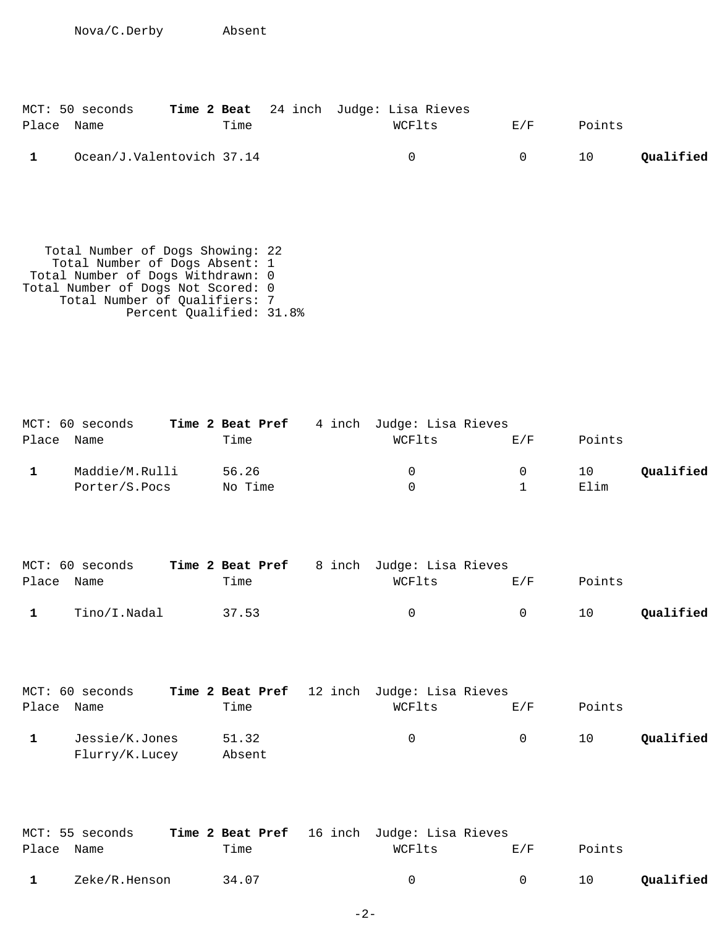Nova/C.Derby Absent

| MCT: 50 seconds           |      | Time 2 Beat 24 inch Judge: Lisa Rieves |        |        |           |
|---------------------------|------|----------------------------------------|--------|--------|-----------|
| Place Name                | Time | WCFlts                                 | E/F    | Points |           |
| Ocean/J.Valentovich 37.14 |      | $^{\circ}$                             | $\cap$ | 10     | Qualified |

 Total Number of Dogs Showing: 22 Total Number of Dogs Absent: 1 Total Number of Dogs Withdrawn: 0 Total Number of Dogs Not Scored: 0 Total Number of Qualifiers: 7 Percent Qualified: 31.8%

| MCT: 60 seconds | Time 2 Beat Pref | 4 inch Judge: Lisa Rieves |          |        |           |
|-----------------|------------------|---------------------------|----------|--------|-----------|
| Place Name      | Time             | WCFlts                    | E/F      | Points |           |
| Maddie/M.Rulli  | 56.26            | 0                         | $\Omega$ | 10     | Qualified |
| Porter/S.Pocs   | No Time          |                           |          | Elim   |           |

|            | MCT: 60 seconds | <b>Time 2 Beat Pref</b> 8 inch Judge: Lisa Rieves |        |        |        |           |
|------------|-----------------|---------------------------------------------------|--------|--------|--------|-----------|
| Place Name |                 | Time                                              | WCFlts | F. / F | Points |           |
|            | Tino/I.Nadal    | 37.53                                             | $\cap$ |        | 10     | Qualified |

|            | MCT: 60 seconds | <b>Time 2 Beat Pref</b> 12 inch Judge: Lisa Rieves |          |          |        |           |
|------------|-----------------|----------------------------------------------------|----------|----------|--------|-----------|
| Place Name |                 | Time                                               | WCFlts   | E/F      | Points |           |
|            | Jessie/K.Jones  | 51.32                                              | $\Omega$ | $\sim$ 0 | 10     | Qualified |
|            | Flurry/K.Lucey  | Absent                                             |          |          |        |           |

|            | MCT: 55 seconds | Time 2 Beat Pref 16 inch Judge: Lisa Rieves |        |                |        |           |
|------------|-----------------|---------------------------------------------|--------|----------------|--------|-----------|
| Place Name |                 | Time                                        | WCFlts | F. / F         | Points |           |
|            | Zeke/R.Henson   | 34.07                                       | $\cap$ | $\overline{a}$ | 10     | Qualified |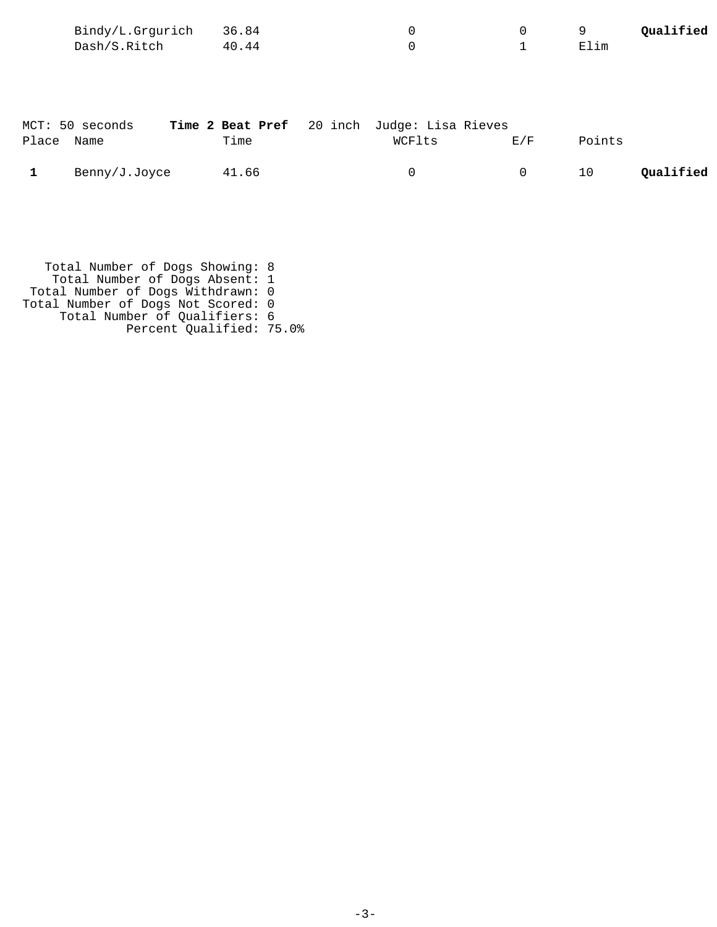| Bindy/L.Grgurich 36.84 |       |  |      | Qualified |
|------------------------|-------|--|------|-----------|
| Dash/S.Ritch           | 40.44 |  | Elim |           |

|              | MCT: 50 seconds | Time 2 Beat Pref 20 inch Judge: Lisa Rieves |        |        |        |           |
|--------------|-----------------|---------------------------------------------|--------|--------|--------|-----------|
| Place Name   |                 | Time                                        | WCFlts | F. / F | Points |           |
| $\mathbf{1}$ | Benny/J.Joyce   | 41.66                                       |        | $\cup$ | 10     | Qualified |

 Total Number of Dogs Showing: 8 Total Number of Dogs Absent: 1 Total Number of Dogs Withdrawn: 0 Total Number of Dogs Not Scored: 0 Total Number of Qualifiers: 6 Percent Qualified: 75.0%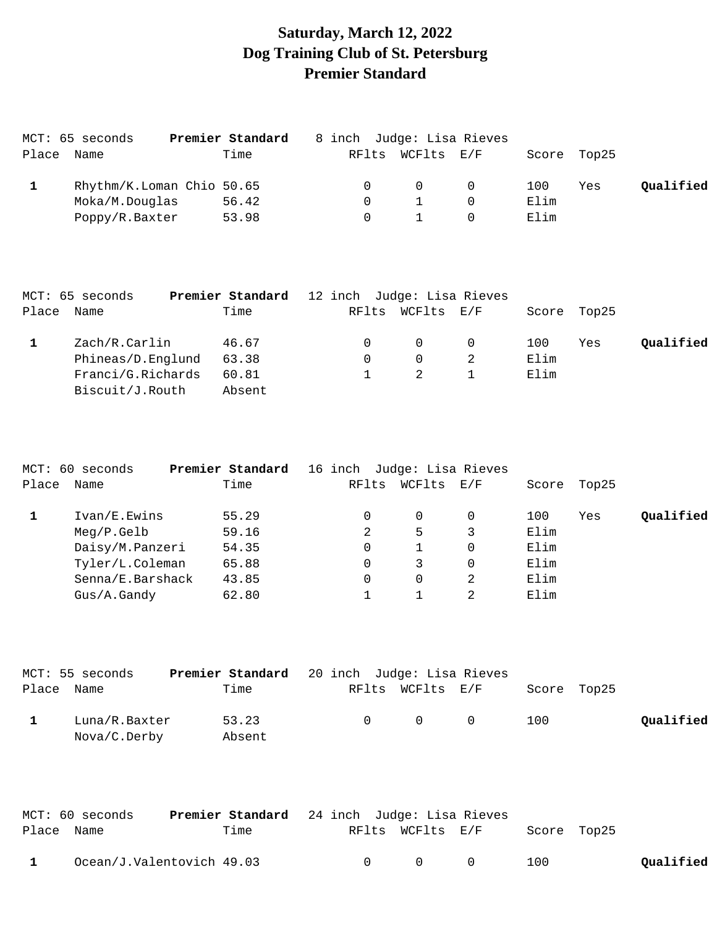# **Saturday, March 12, 2022 Dog Training Club of St. Petersburg Premier Standard**

|       | MCT: 65 seconds | Premier Standard          | 8 inch Judge: Lisa Rieves |                  |                |      |             |           |
|-------|-----------------|---------------------------|---------------------------|------------------|----------------|------|-------------|-----------|
| Place | Name            | Time                      |                           | RFlts WCFlts E/F |                |      | Score Top25 |           |
|       |                 | Rhythm/K.Loman Chio 50.65 | $\Omega$                  | $\overline{0}$   | $\overline{0}$ | 100  | Yes         | Qualified |
|       | Moka/M.Douglas  | 56.42                     | $\Omega$                  |                  |                | Elim |             |           |
|       | Poppy/R.Baxter  | 53.98                     |                           |                  |                | Elim |             |           |

|       | MCT: 65 seconds   | Premier Standard | 12 inch Judge: Lisa Rieves |            |      |             |           |
|-------|-------------------|------------------|----------------------------|------------|------|-------------|-----------|
| Place | Name              | Time             | RFlts                      | WCFlts E/F |      | Score Top25 |           |
|       | Zach/R.Carlin     | 46.67            |                            | $\Omega$   | 100  | Yes         | Qualified |
|       | Phineas/D.Englund | 63.38            |                            | $\Omega$   | Elim |             |           |
|       | Franci/G.Richards | 60.81            |                            | 2          | Elim |             |           |
|       | Biscuit/J.Routh   | Absent           |                            |            |      |             |           |

|       | MCT: 60 seconds  | Premier Standard |       | 16 inch Judge: Lisa Rieves |          |       |       |           |
|-------|------------------|------------------|-------|----------------------------|----------|-------|-------|-----------|
| Place | Name             | Time             | RFlts | WCFlts                     | E/F      | Score | Top25 |           |
|       | Ivan/E.Ewins     | 55.29            | 0     |                            | $\Omega$ | 100   | Yes   | Qualified |
|       | Meq/P.Gelb       | 59.16            | 2     | 5                          |          | Elim  |       |           |
|       | Daisy/M.Panzeri  | 54.35            | 0     |                            | $\Omega$ | Elim  |       |           |
|       | Tyler/L.Coleman  | 65.88            | 0     | 3                          | $\Omega$ | Elim  |       |           |
|       | Senna/E.Barshack | 43.85            | 0     | 0                          | 2        | Elim  |       |           |
|       | Gus/A.Gandy      | 62.80            |       |                            |          | Elim  |       |           |

| MCT: 55 seconds               | <b>Premier Standard</b> 20 inch Judge: Lisa Rieves |  |                                         |     |             |           |
|-------------------------------|----------------------------------------------------|--|-----------------------------------------|-----|-------------|-----------|
| Place Name                    | Time                                               |  | RFlts WCFlts E/F                        |     | Score Top25 |           |
| Luna/R.Baxter<br>Nova/C.Derby | 53.23<br>Absent                                    |  | $\begin{matrix} 0 & 0 & 0 \end{matrix}$ | 100 |             | Qualified |

|              | MCT: 60 seconds           | <b>Premier Standard</b> 24 inch Judge: Lisa Rieves |        |               |                              |     |           |
|--------------|---------------------------|----------------------------------------------------|--------|---------------|------------------------------|-----|-----------|
| Place Name   |                           | Time                                               |        |               | RFlts WCFlts E/F Score Top25 |     |           |
| $\mathbf{1}$ | Ocean/J.Valentovich 49.03 |                                                    | $\cap$ | $\cap$ $\cap$ |                              | 100 | Qualified |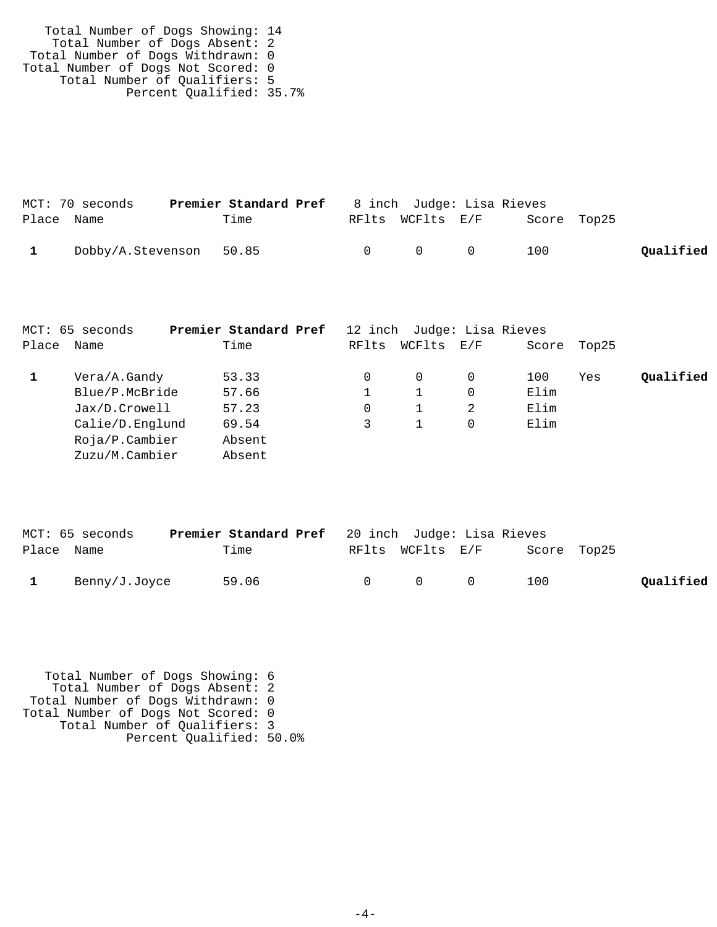| Total Number of Dogs Showing: 14   |  |
|------------------------------------|--|
| Total Number of Dogs Absent: 2     |  |
| Total Number of Dogs Withdrawn: 0  |  |
| Total Number of Dogs Not Scored: 0 |  |
| Total Number of Qualifiers: 5      |  |
| Percent Qualified: 35.7%           |  |

|              | MCT: 70 seconds         | <b>Premier Standard Pref</b> 8 inch Judge: Lisa Rieves |        |                  |           |             |           |
|--------------|-------------------------|--------------------------------------------------------|--------|------------------|-----------|-------------|-----------|
| Place Name   |                         | Time                                                   |        | RFlts WCFlts E/F |           | Score Top25 |           |
| $\mathbf{1}$ | Dobby/A.Stevenson 50.85 |                                                        | $\cap$ | $\cap$           | $\bigcap$ | 100         | Oualified |

|       | MCT: 65 seconds   | Premier Standard Pref |       | 12 inch Judge: Lisa Rieves |     |       |       |           |
|-------|-------------------|-----------------------|-------|----------------------------|-----|-------|-------|-----------|
| Place | Name              | Time                  | RFlts | WCFlts                     | E/F | Score | Top25 |           |
|       | Vera/A.Gandy      | 53.33                 | 0     | 0                          |     | 100   | Yes   | Oualified |
|       | Blue/P.McBride    | 57.66                 |       |                            | 0   | Elim  |       |           |
|       | Jax/D.Crowell     | 57.23                 | 0     |                            | 2   | Elim  |       |           |
|       | Calie/D.Englund   | 69.54                 |       |                            |     | Elim  |       |           |
|       | $Ro$ ja/P.Cambier | Absent                |       |                            |     |       |       |           |
|       | Zuzu/M.Cambier    | Absent                |       |                            |     |       |       |           |

|            | MCT: 65 seconds | <b>Premier Standard Pref</b> 20 inch Judge: Lisa Rieves |                                         |             |           |
|------------|-----------------|---------------------------------------------------------|-----------------------------------------|-------------|-----------|
| Place Name |                 | Time                                                    | RFlts WCFlts E/F                        | Score Top25 |           |
|            | Benny/J.Joyce   | 59.06                                                   | $\begin{matrix} 0 & 0 & 0 \end{matrix}$ | 100         | Qualified |

 Total Number of Dogs Showing: 6 Total Number of Dogs Absent: 2 Total Number of Dogs Withdrawn: 0 Total Number of Dogs Not Scored: 0 Total Number of Qualifiers: 3 Percent Qualified: 50.0%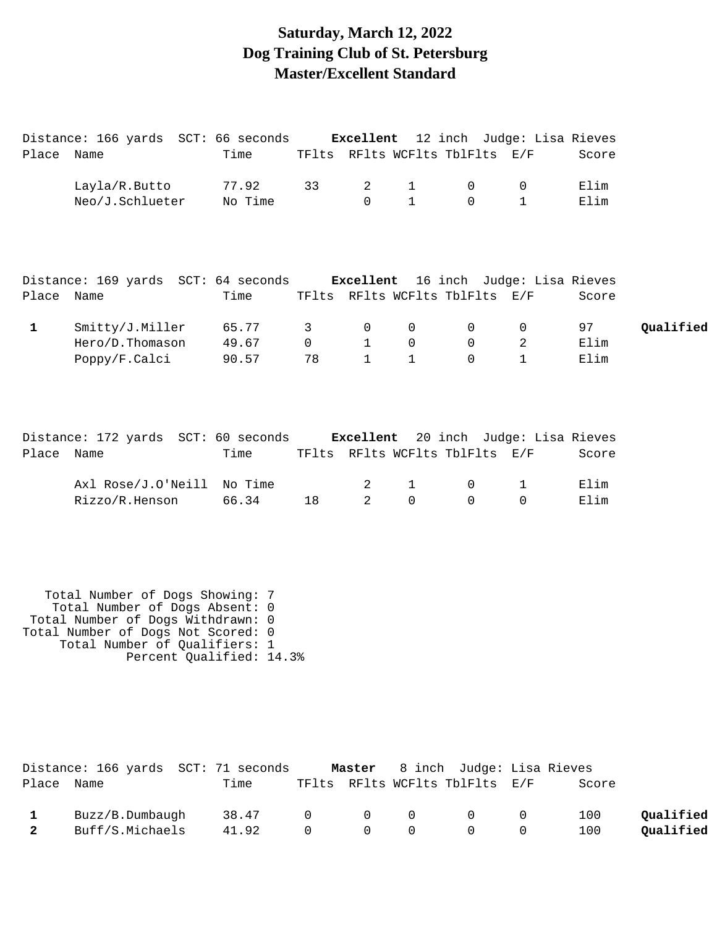## **Saturday, March 12, 2022 Dog Training Club of St. Petersburg Master/Excellent Standard**

|              | Distance: 166 yards SCT: 66 seconds Excellent 12 inch Judge: Lisa Rieves                               |         |                |                |              |                                |              |       |           |
|--------------|--------------------------------------------------------------------------------------------------------|---------|----------------|----------------|--------------|--------------------------------|--------------|-------|-----------|
| Place Name   |                                                                                                        | Time    |                |                |              | TFlts RFlts WCFlts TblFlts E/F |              | Score |           |
|              | Layla/R.Butto                                                                                          | 77.92   | 33             | 2              | $\mathbf{1}$ | $\mathbf{0}$                   | 0            | Elim  |           |
|              | Neo/J.Schlueter                                                                                        | No Time |                | $\Omega$       | $\mathbf{1}$ | $\Omega$                       | $\mathbf{1}$ | Elim  |           |
|              | Distance: 169 yards SCT: 64 seconds <b>Excellent</b> 16 inch Judge: Lisa Rieves                        |         |                |                |              |                                |              |       |           |
| Place Name   |                                                                                                        | Time    |                |                |              | TFlts RFlts WCFlts TblFlts E/F |              | Score |           |
| $\mathbf{1}$ | Smitty/J.Miller                                                                                        | 65.77   | 3              | 0              | $\Omega$     | $\mathbf 0$                    | 0            | 97    | Qualified |
|              | Hero/D.Thomason                                                                                        | 49.67   | $\overline{0}$ | $\mathbf{1}$   | $\mathsf{O}$ | $\mathbf 0$                    | 2            | Elim  |           |
|              | Poppy/F.Calci                                                                                          | 90.57   | 78             | $\mathbf{1}$   | $\mathbf{1}$ | $\Omega$                       | $\mathbf 1$  | Elim  |           |
| Place Name   | Distance: 172 yards SCT: 60 seconds <b>Excellent</b> 20 inch Judge: Lisa Rieves                        | Time    |                |                |              | TFlts RFlts WCFlts TblFlts E/F |              | Score |           |
|              |                                                                                                        |         |                |                |              |                                |              |       |           |
|              | Axl Rose/J.O'Neill                                                                                     | No Time |                | 2              | $\mathbf{1}$ | 0                              | 1            | Elim  |           |
|              | Rizzo/R.Henson                                                                                         | 66.34   | 18             | $\mathfrak{D}$ | $\Omega$     | $\Omega$                       | $\Omega$     | Elim  |           |
|              |                                                                                                        |         |                |                |              |                                |              |       |           |
|              | Total Number of Dogs Showing: 7<br>Total Number of Dogs Absent: 0<br>Total Number of Dogs Withdrawn: 0 |         |                |                |              |                                |              |       |           |

Total Number of Dogs Not Scored: 0

 Total Number of Qualifiers: 1 Percent Qualified: 14.3%

|              | Distance: 166 yards SCT: 71 seconds |                 |          |                                 | <b>Master</b> 8 inch Judge: Lisa Rieves            |       |           |
|--------------|-------------------------------------|-----------------|----------|---------------------------------|----------------------------------------------------|-------|-----------|
| Place        | Name                                | Time            |          |                                 | TFlts RFlts WCFlts TblFlts E/F                     | Score |           |
|              | Buzz/B.Dumbaugh                     | 38.47 0 0 0 0 0 |          |                                 |                                                    | 100   | Oualified |
| $\mathbf{2}$ | Buff/S.Michaels                     | 41.92           | $\Omega$ | $\begin{matrix}0&0\end{matrix}$ | $\begin{array}{ccc} & & & 0 & \quad & \end{array}$ | 100   | Qualified |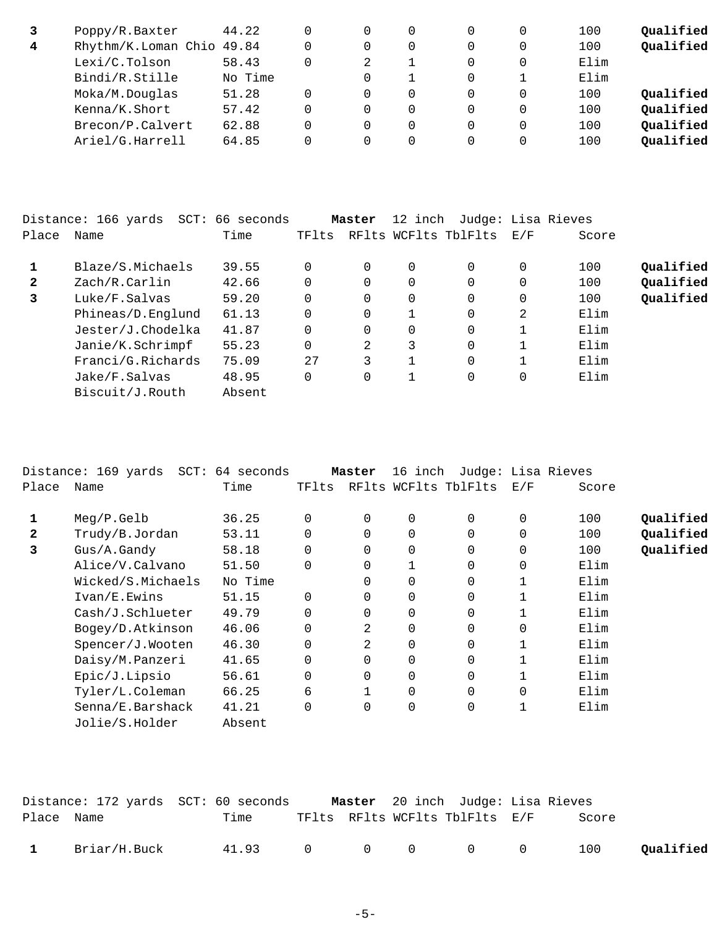|   | Poppy/R.Baxter            | 44.22   |   | 0 |   | 100  | Qualified |
|---|---------------------------|---------|---|---|---|------|-----------|
| 4 | Rhythm/K.Loman Chio 49.84 |         | 0 | 0 | 0 | 100  | Qualified |
|   | Lexi/C.Tolson             | 58.43   |   |   |   | Elim |           |
|   | Bindi/R.Stille            | No Time |   |   |   | Elim |           |
|   | Moka/M.Douglas            | 51.28   | 0 | 0 | 0 | 100  | Qualified |
|   | Kenna/K.Short             | 57.42   | 0 | 0 |   | 100  | Qualified |
|   | Brecon/P.Calvert          | 62.88   | 0 | 0 |   | 100  | Qualified |
|   | Ariel/G.Harrell           | 64.85   |   | 0 |   | 100  | Qualified |

|              | Distance: 166 yards<br>SCT: | 66 seconds |          | Master | 12 inch |                      | Judge: Lisa Rieves |       |           |
|--------------|-----------------------------|------------|----------|--------|---------|----------------------|--------------------|-------|-----------|
| Place        | Name                        | Time       | TFlts    |        |         | RFlts WCFlts TblFlts | E/F                | Score |           |
|              | Blaze/S.Michaels            | 39.55      | $\Omega$ |        | 0       | 0                    | 0                  | 100   | Qualified |
| $\mathbf{2}$ | Zach/R.Carlin               | 42.66      | 0        |        | 0       | 0                    | 0                  | 100   | Qualified |
| 3            | Luke/F.Salvas               | 59.20      |          |        | 0       | $\Omega$             | 0                  | 100   | Qualified |
|              | Phineas/D.Englund           | 61.13      | 0        |        |         | $\Omega$             | 2                  | Elim  |           |
|              | Jester/J.Chodelka           | 41.87      | $\Omega$ |        | 0       | $\Omega$             |                    | Elim  |           |
|              | Janie/K.Schrimpf            | 55.23      | $\Omega$ | 2      | 3       | $\Omega$             |                    | Elim  |           |
|              | Franci/G.Richards           | 75.09      | 27       | 3      |         | $\Omega$             |                    | Elim  |           |
|              | Jake/F.Salvas               | 48.95      | 0        |        |         | 0                    | 0                  | Elim  |           |
|              | Biscuit/J.Routh             | Absent     |          |        |         |                      |                    |       |           |

|              | Distance: 169 yards SCT: 64 seconds |         |             | Master      | 16 inch     | Judge: Lisa Rieves   |             |       |           |
|--------------|-------------------------------------|---------|-------------|-------------|-------------|----------------------|-------------|-------|-----------|
| Place        | Name                                | Time    | TFlts       |             |             | RFlts WCFlts TblFlts | E/F         | Score |           |
| 1            | Meg/P.Gelb                          | 36.25   | 0           | $\Omega$    | 0           | 0                    | $\mathbf 0$ | 100   | Qualified |
| $\mathbf{2}$ | Trudy/B.Jordan                      | 53.11   | $\Omega$    | 0           | $\Omega$    | 0                    | $\mathbf 0$ | 100   | Qualified |
| 3            | Gus/A.Gandy                         | 58.18   | $\mathbf 0$ | $\mathbf 0$ | $\mathbf 0$ | 0                    | 0           | 100   | Qualified |
|              | Alice/V.Calvano                     | 51.50   | $\Omega$    | 0           |             | $\mathbf 0$          | $\mathbf 0$ | Elim  |           |
|              | Wicked/S.Michaels                   | No Time |             | $\Omega$    | 0           | 0                    |             | Elim  |           |
|              | Ivan/E.Ewins                        | 51.15   | $\Omega$    | 0           | 0           | 0                    |             | Elim  |           |
|              | Cash/J.Schlueter                    | 49.79   | $\Omega$    | 0           | 0           | 0                    |             | Elim  |           |
|              | Bogey/D.Atkinson                    | 46.06   |             | 2           | $\Omega$    | 0                    | $\Omega$    | Elim  |           |
|              | Spencer/J.Wooten                    | 46.30   | $\Omega$    | 2           | $\mathbf 0$ | 0                    |             | Elim  |           |
|              | Daisy/M.Panzeri                     | 41.65   | $\Omega$    | $\Omega$    | $\Omega$    | 0                    |             | Elim  |           |
|              | Epic/J.Lipsio                       | 56.61   | $\Omega$    | $\mathbf 0$ | $\Omega$    | 0                    | 1           | Elim  |           |
|              | Tyler/L.Coleman                     | 66.25   | 6           |             | $\Omega$    | 0                    | $\mathbf 0$ | Elim  |           |
|              | Senna/E.Barshack                    | 41.21   |             | $\Omega$    | $\mathbf 0$ | 0                    |             | Elim  |           |
|              | Jolie/S.Holder                      | Absent  |             |             |             |                      |             |       |           |

|              |              | Distance: 172 yards  SCT: 60 seconds |  | Master 20 inch Judge: Lisa Rieves |       |           |
|--------------|--------------|--------------------------------------|--|-----------------------------------|-------|-----------|
| Place Name   |              | Time                                 |  | TFlts RFlts WCFlts TblFlts E/F    | Score |           |
| $\mathbf{1}$ | Briar/H.Buck | 41.93 0 0 0 0 0                      |  |                                   | 100   | Qualified |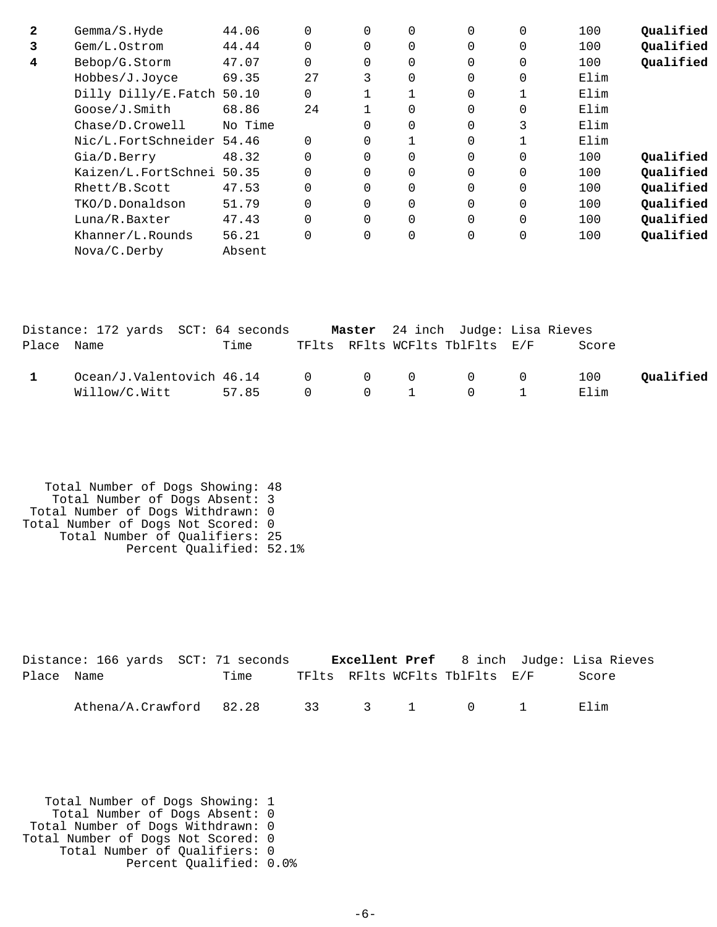| $\mathbf{2}$ | Gemma/S.Hyde              | 44.06   |          | 0 | $\Omega$    | $\Omega$ | 0            | 100  | Oualified |
|--------------|---------------------------|---------|----------|---|-------------|----------|--------------|------|-----------|
| 3            | Gem/L.Ostrom              | 44.44   | $\Omega$ |   | $\Omega$    | $\Omega$ | 0            | 100  | Qualified |
| 4            | Bebop/G.Storm             | 47.07   | $\Omega$ |   | 0           | $\Omega$ | $\Omega$     | 100  | Qualified |
|              | Hobbes/J.Joyce            | 69.35   | 27       | 3 | $\Omega$    | $\Omega$ | 0            | Elim |           |
|              | Dilly Dilly/E.Fatch       | 50.10   | $\Omega$ |   |             | $\Omega$ | $\mathbf{1}$ | Elim |           |
|              | Goose/J.Smith             | 68.86   | 24       |   | $\Omega$    | $\Omega$ | $\Omega$     | Elim |           |
|              | Chase/D.Crowell           | No Time |          |   | 0           | $\Omega$ | 3            | Elim |           |
|              | Nic/L.FortSchneider 54.46 |         | $\Omega$ |   |             | $\Omega$ |              | Elim |           |
|              | Gia/D.Berry               | 48.32   | $\Omega$ |   | 0           | $\Omega$ | $\Omega$     | 100  | Oualified |
|              | Kaizen/L.FortSchnei 50.35 |         | $\Omega$ |   | $\Omega$    | $\Omega$ | $\Omega$     | 100  | Qualified |
|              | Rhett/B.Scott             | 47.53   | $\Omega$ |   | 0           | $\Omega$ | $\Omega$     | 100  | Qualified |
|              | TKO/D.Donaldson           | 51.79   | $\Omega$ |   | $\Omega$    | $\Omega$ | $\Omega$     | 100  | Qualified |
|              | Luna/R.Baxter             | 47.43   | $\Omega$ |   | $\Omega$    | $\Omega$ | $\Omega$     | 100  | Qualified |
|              | Khanner/L.Rounds          | 56.21   | $\Omega$ |   | $\mathbf 0$ | $\Omega$ | 0            | 100  | Qualified |
|              | Nova/C.Derby              | Absent  |          |   |             |          |              |      |           |

|            | Distance: 172 yards SCT: 64 seconds             |       |  | Master 24 inch Judge: Lisa Rieves       |       |           |
|------------|-------------------------------------------------|-------|--|-----------------------------------------|-------|-----------|
| Place Name |                                                 | Time  |  | TFlts RFlts WCFlts TblFlts E/F          | Score |           |
|            | $Ocean/J.Valentovich$ 46.14 $O$ $O$ $O$ $O$ $O$ |       |  |                                         | 100   | Oualified |
|            | Willow/C.Witt                                   | 57.85 |  | $0 \qquad 0 \qquad 1 \qquad 0 \qquad 1$ | Elim  |           |

```
 Total Number of Dogs Showing: 48
 Total Number of Dogs Absent: 3
 Total Number of Dogs Withdrawn: 0
Total Number of Dogs Not Scored: 0
 Total Number of Qualifiers: 25
 Percent Qualified: 52.1%
```

|            | Distance: 166 yards SCT: 71 seconds |      |  |                                | <b>Excellent Pref</b> 8 inch Judge: Lisa Rieves |
|------------|-------------------------------------|------|--|--------------------------------|-------------------------------------------------|
| Place Name |                                     | Time |  | TFlts RFlts WCFlts TblFlts E/F | Score                                           |
|            | Athena/A.Crawford 82.28 33 3 1 0 1  |      |  |                                | Elim                                            |

 Total Number of Dogs Showing: 1 Total Number of Dogs Absent: 0 Total Number of Dogs Withdrawn: 0 Total Number of Dogs Not Scored: 0 Total Number of Qualifiers: 0 Percent Qualified: 0.0%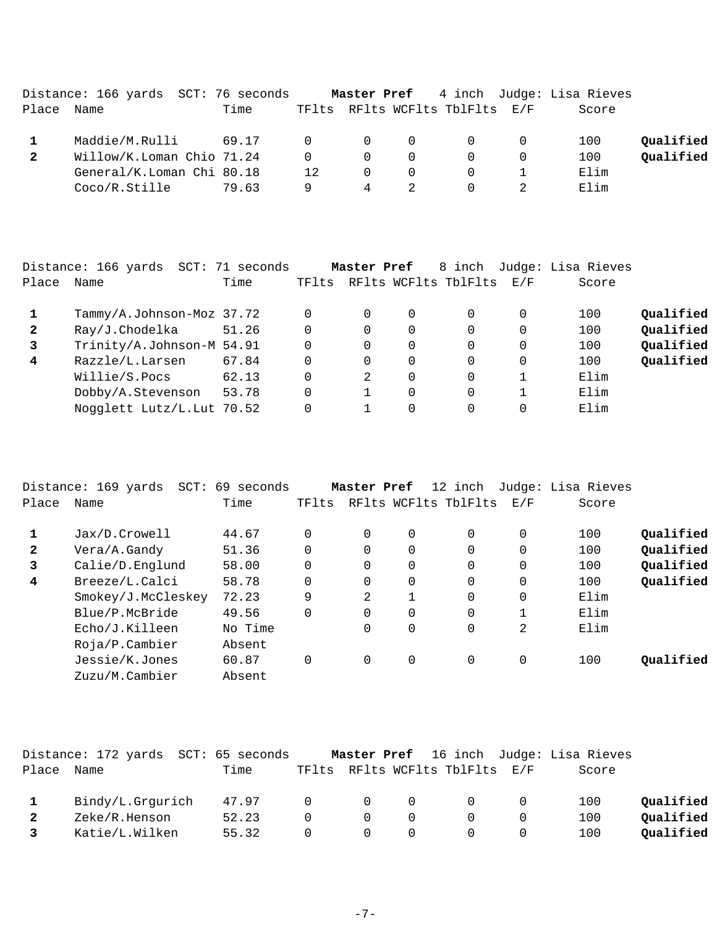|       | Distance: 166 yards SCT: 76 seconds |       |          |                |                |                                | Master Pref 4 inch Judge: Lisa Rieves |           |
|-------|-------------------------------------|-------|----------|----------------|----------------|--------------------------------|---------------------------------------|-----------|
| Place | Name                                | Time  |          |                |                | TFlts RFlts WCFlts TblFlts E/F | Score                                 |           |
|       | Maddie/M.Rulli                      | 69.17 | $\Omega$ | $\overline{0}$ | $\overline{0}$ | $\overline{0}$                 | 100                                   | Qualified |
|       | Willow/K.Loman Chio 71.24           |       | $\Omega$ | - 0            | $\Omega$       | $\overline{0}$                 | 100                                   | Qualified |
|       | General/K.Loman Chi 80.18           |       | 12.      | $\Omega$       | $\Omega$       | $\Omega$                       | Elim                                  |           |
|       | Coco/R.Stille                       | 79.63 | 9        | 4              |                |                                | Elim                                  |           |

|              | Distance: 166 yards SCT: 71 seconds |       |       | Master Pref   |          | 8 inch               |     | Judge: Lisa Rieves |           |
|--------------|-------------------------------------|-------|-------|---------------|----------|----------------------|-----|--------------------|-----------|
| Place        | Name                                | Time  | TFlts |               |          | RFlts WCFlts TblFlts | E/F | Score              |           |
|              | Tammy/A.Johnson-Moz 37.72           |       |       | 0             | 0        | 0                    | 0   | 100                | Qualified |
| $\mathbf{2}$ | Ray/J.Chodelka                      | 51.26 |       | $\Omega$      | 0        | 0                    | 0   | 100                | Qualified |
| 3            | Trinity/A.Johnson-M 54.91           |       |       | $\Omega$      | 0        | $\Omega$             | 0   | 100                | Qualified |
| 4            | Razzle/L.Larsen                     | 67.84 |       | $\Omega$      | 0        | 0                    | 0   | 100                | Qualified |
|              | Willie/S.Pocs                       | 62.13 |       | $\mathcal{L}$ | 0        | 0                    |     | Elim               |           |
|              | Dobby/A.Stevenson                   | 53.78 |       |               | $\Omega$ | 0                    |     | Elim               |           |
|              | Nogglett Lutz/L.Lut 70.52           |       |       |               | 0        | 0                    | 0   | Elim               |           |

|              | Distance: 169 yards<br>$SCT$ : | 69 seconds |       | Master Pref |             | 12 inch              |             | Judge: Lisa Rieves |           |
|--------------|--------------------------------|------------|-------|-------------|-------------|----------------------|-------------|--------------------|-----------|
| Place        | Name                           | Time       | TFlts |             |             | RFlts WCFlts TblFlts | E/F         | Score              |           |
|              | Jax/D.Crowell                  | 44.67      |       | $\Omega$    | 0           | $\Omega$             | 0           | 100                | Qualified |
| $\mathbf{2}$ | Vera/A.Gandy                   | 51.36      |       | $\Omega$    | $\Omega$    | $\Omega$             | $\Omega$    | 100                | Qualified |
| 3            | Calie/D.Englund                | 58.00      |       | $\Omega$    | $\Omega$    | $\Omega$             | 0           | 100                | Qualified |
| 4            | Breeze/L.Calci                 | 58.78      |       | $\Omega$    | 0           | 0                    | $\mathbf 0$ | 100                | Qualified |
|              | Smokey/J.McCleskey             | 72.23      | 9     | 2           |             | $\Omega$             | $\mathbf 0$ | Elim               |           |
|              | Blue/P.McBride                 | 49.56      |       | 0           | 0           | 0                    | 1           | Elim               |           |
|              | Echo/J.Killeen                 | No Time    |       | 0           | $\mathbf 0$ | 0                    | 2           | Elim               |           |
|              | $Ro$ ja/P.Cambier              | Absent     |       |             |             |                      |             |                    |           |
|              | Jessie/K.Jones                 | 60.87      |       | 0           | 0           | 0                    | 0           | 100                | Oualified |
|              | Zuzu/M.Cambier                 | Absent     |       |             |             |                      |             |                    |           |

|       | Distance: 172 yards SCT: 65 seconds |       |                       |                |                |                                |     | Master Pref 16 inch Judge: Lisa Rieves |           |
|-------|-------------------------------------|-------|-----------------------|----------------|----------------|--------------------------------|-----|----------------------------------------|-----------|
| Place | Name                                | Time  |                       |                |                | TFlts RFlts WCFlts TblFlts E/F |     | Score                                  |           |
|       | Bindy/L.Grqurich                    | 47.97 | $\Omega$ and $\Omega$ | $\overline{0}$ | $\overline{0}$ | $\overline{0}$                 |     | 100                                    | Oualified |
|       | Zeke/R.Henson                       | 52.23 | $\Omega$              | $\Omega$       |                |                                |     | 100                                    | Qualified |
|       | Katie/L.Wilken                      | 55.32 | $\Omega$              | $\overline{0}$ |                | $\Omega$                       | . O | 100                                    | Qualified |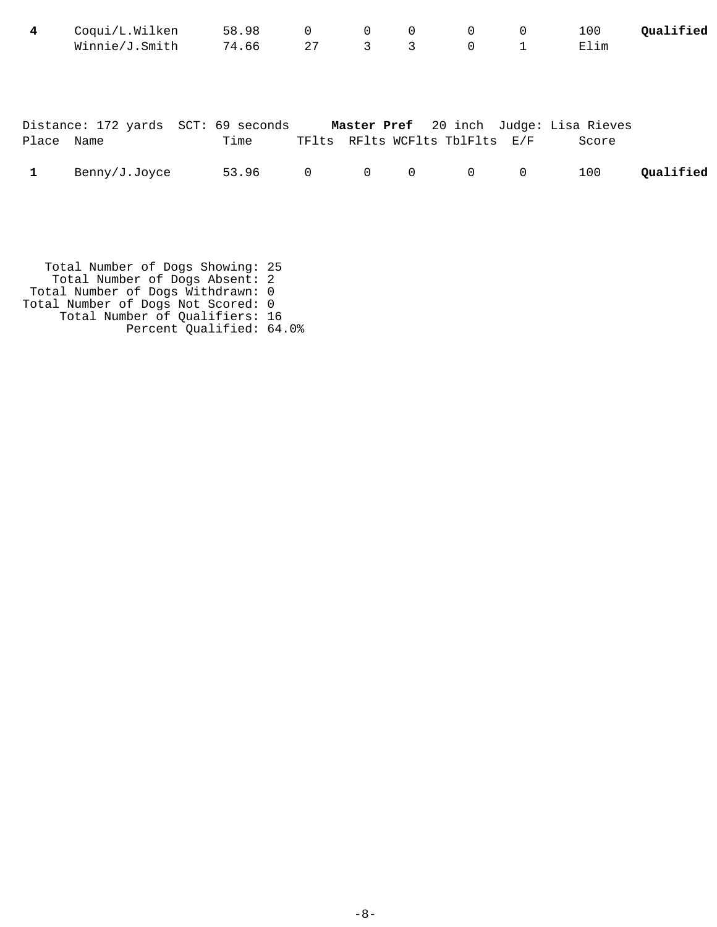| 4          | Coqui/L.Wilken                      | 58.98 | 0              | $\mathbf 0$    | 0            | $\mathbf 0$                    | 0            | 100                                             | Qualified |
|------------|-------------------------------------|-------|----------------|----------------|--------------|--------------------------------|--------------|-------------------------------------------------|-----------|
|            | Winnie/J.Smith                      | 74.66 | 27             | 3              | 3            | $\mathbf 0$                    | $\mathbf{1}$ | Elim                                            |           |
| Place Name | Distance: 172 yards SCT: 69 seconds | Time  |                |                |              | TFlts RFlts WCFlts TblFlts E/F |              | Master Pref 20 inch Judge: Lisa Rieves<br>Score |           |
|            | Benny/J.Joyce                       | 53.96 | $\overline{0}$ | $\overline{0}$ | $\mathsf{O}$ | $\overline{0}$                 | $\mathbf 0$  | 100                                             | Qualified |

 Total Number of Dogs Showing: 25 Total Number of Dogs Absent: 2 Total Number of Dogs Withdrawn: 0 Total Number of Dogs Not Scored: 0 Total Number of Qualifiers: 16 Percent Qualified: 64.0%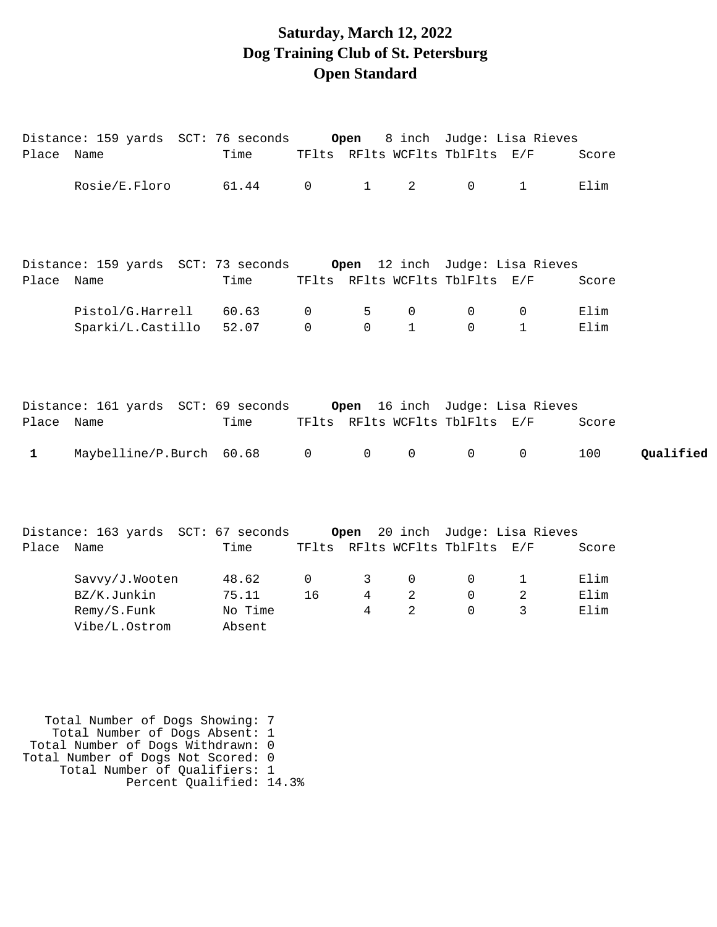# **Saturday, March 12, 2022 Dog Training Club of St. Petersburg Open Standard**

| Place Name   |                                                                         | Time    |                   |                        |                | TFlts RFlts WCFlts TblFlts E/F |                   | Score            |
|--------------|-------------------------------------------------------------------------|---------|-------------------|------------------------|----------------|--------------------------------|-------------------|------------------|
|              | Rosie/E.Floro 61.44                                                     |         | $\overline{0}$    | $1 \quad \blacksquare$ | $2^{\circ}$    | $\mathsf{O}$                   | $\mathbf{1}$      | Elim             |
|              |                                                                         |         |                   |                        |                |                                |                   |                  |
|              | Distance: 159 yards SCT: 73 seconds     Open 12 inch Judge: Lisa Rieves |         |                   |                        |                |                                |                   |                  |
| Place Name   |                                                                         | Time    |                   |                        |                | TFlts RFlts WCFlts TblFlts E/F |                   | Score            |
|              | Pistol/G.Harrell 60.63                                                  |         | $\overline{0}$    | 5                      | $\mathbf 0$    | $\mathbf 0$                    | $\overline{0}$    | Elim             |
|              | Sparki/L.Castillo                                                       | 52.07   | $\mathbf 0$       | $\Omega$               | $\mathbf{1}$   | $\Omega$                       | $\mathbf{1}$      | Elim             |
|              |                                                                         |         |                   |                        |                |                                |                   |                  |
|              |                                                                         |         |                   |                        |                |                                |                   |                  |
|              | Distance: 161 yards SCT: 69 seconds 0pen 16 inch Judge: Lisa Rieves     |         |                   |                        |                |                                |                   |                  |
| Place Name   |                                                                         | Time    |                   |                        |                | TFlts RFlts WCFlts TblFlts E/F |                   | Score            |
| $\mathbf{1}$ | Maybelline/P.Burch 60.68                                                |         | $0 \qquad \qquad$ | 0                      | 0              | $\overline{0}$                 | $0 \qquad \qquad$ | 100<br>Qualified |
|              |                                                                         |         |                   |                        |                |                                |                   |                  |
|              |                                                                         |         |                   |                        |                |                                |                   |                  |
|              | Distance: 163 yards SCT: 67 seconds 0pen 20 inch Judge: Lisa Rieves     |         |                   |                        |                |                                |                   |                  |
| Place Name   |                                                                         | Time    |                   |                        |                | TFlts RFlts WCFlts TblFlts E/F |                   | Score            |
|              |                                                                         |         |                   |                        |                |                                |                   |                  |
|              | Savvy/J.Wooten                                                          | 48.62   | $\overline{0}$    | 3                      | $\mathsf{O}$   | $\overline{0}$                 | $\mathbf{1}$      | Elim             |
|              | BZ/K.Junkin                                                             | 75.11   | 16                | 4                      | $\overline{a}$ | $\Omega$                       | $\overline{a}$    | Elim             |
|              | Remy/S.Funk                                                             | No Time |                   | 4                      | 2              | $\Omega$                       | 3                 | Elim             |
|              | Vibe/L.Ostrom                                                           | Absent  |                   |                        |                |                                |                   |                  |

 Total Number of Dogs Showing: 7 Total Number of Dogs Absent: 1 Total Number of Dogs Withdrawn: 0 Total Number of Dogs Not Scored: 0 Total Number of Qualifiers: 1 Percent Qualified: 14.3%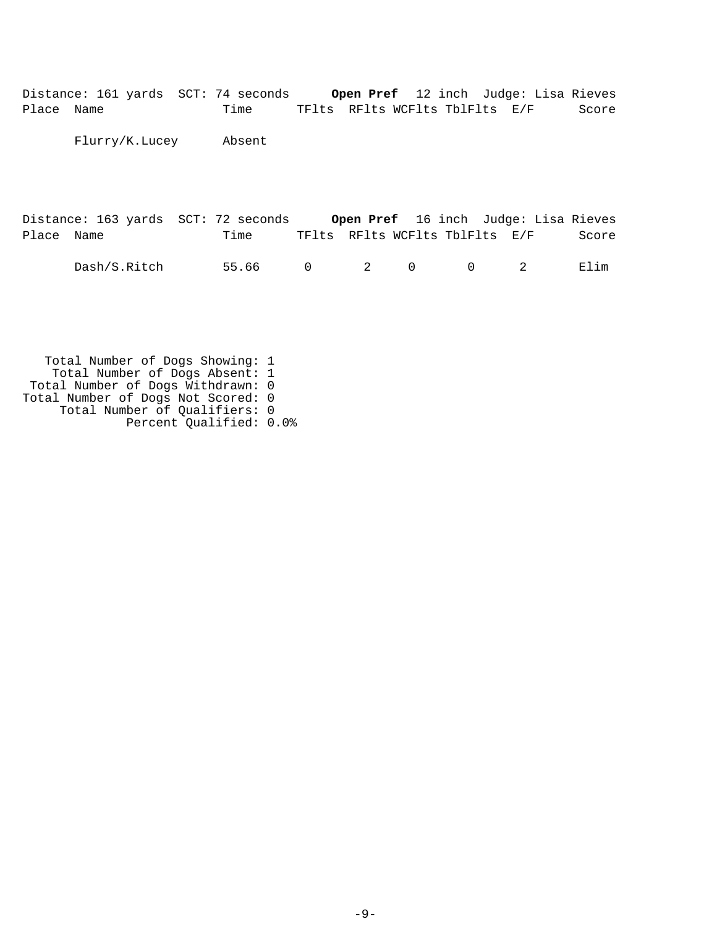Distance: 161 yards SCT: 74 seconds **Open Pref** 12 inch Judge: Lisa Rieves Place Name Time TFlts RFlts WCFlts TblFlts E/F Score

Flurry/K.Lucey Absent

Distance: 163 yards SCT: 72 seconds **Open Pref** 16 inch Judge: Lisa Rieves Place Name  $Time$  Time TFlts RFlts WCFlts TblFlts E/F Score Dash/S.Ritch 55.66 0 2 0 0 2 Elim

 Total Number of Dogs Showing: 1 Total Number of Dogs Absent: 1 Total Number of Dogs Withdrawn: 0 Total Number of Dogs Not Scored: 0 Total Number of Qualifiers: 0 Percent Qualified: 0.0%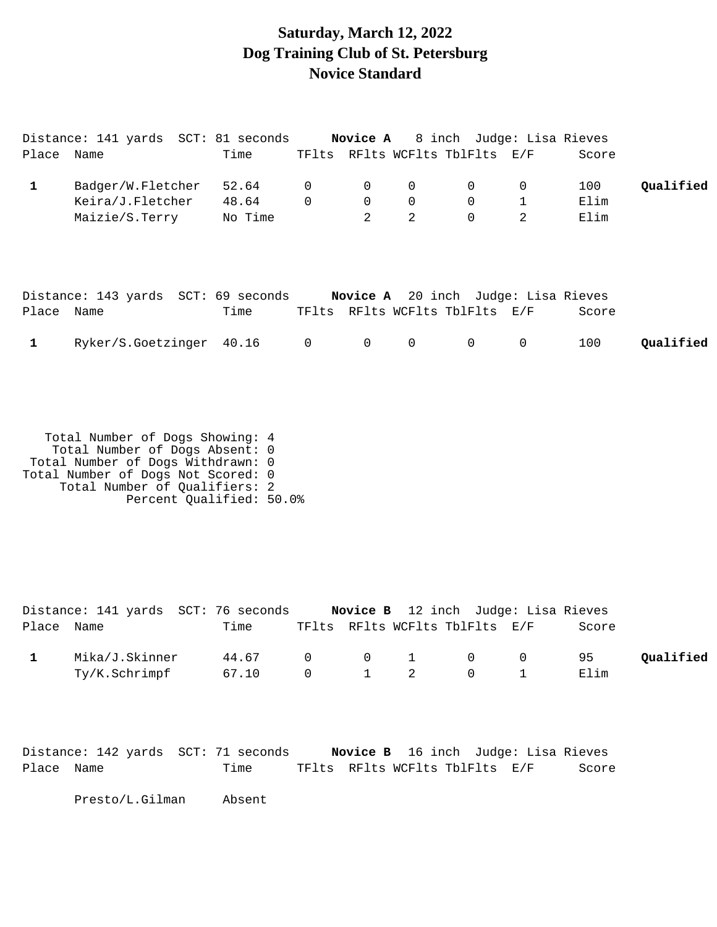## **Saturday, March 12, 2022 Dog Training Club of St. Petersburg Novice Standard**

|            | Distance: 141 yards SCT: 81 seconds |         |                |                |              | Novice A 8 inch Judge: Lisa Rieves         |                |       |           |
|------------|-------------------------------------|---------|----------------|----------------|--------------|--------------------------------------------|----------------|-------|-----------|
| Place Name |                                     | Time    |                |                |              | TFlts RFlts WCFlts TblFlts E/F             |                | Score |           |
| 1          | Badger/W.Fletcher                   | 52.64   | $\overline{0}$ | $\overline{0}$ | 0            | 0                                          | 0              | 100   | Qualified |
|            | Keira/J.Fletcher                    | 48.64   | $\Omega$       | $\mathbf 0$    | $\mathbf 0$  | $\mathbf 0$                                | $\mathbf 1$    | Elim  |           |
|            | Maizie/S.Terry                      | No Time |                | $\overline{2}$ | 2            | $\mathbf 0$                                | $\overline{2}$ | Elim  |           |
|            | Distance: 143 yards SCT: 69 seconds |         |                |                |              | <b>Novice A</b> 20 inch Judge: Lisa Rieves |                |       |           |
| Place Name |                                     | Time    |                |                |              | TFlts RFlts WCFlts TblFlts E/F             |                | Score |           |
|            | Ryker/S.Goetzinger 40.16            |         | $\overline{0}$ | $\overline{0}$ | $\mathsf{O}$ | $\mathbf 0$                                | $\mathbf 0$    | 100   | Oualified |

 Total Number of Dogs Showing: 4 Total Number of Dogs Absent: 0 Total Number of Dogs Withdrawn: 0 Total Number of Dogs Not Scored: 0 Total Number of Qualifiers: 2 Percent Qualified: 50.0%

|            | Distance: 141 yards SCT: 76 seconds |                 |  | <b>Novice B</b> 12 inch Judge: Lisa Rieves |       |           |
|------------|-------------------------------------|-----------------|--|--------------------------------------------|-------|-----------|
| Place Name |                                     | Time            |  | TFlts RFlts WCFlts TblFlts E/F             | Score |           |
|            | Mika/J.Skinner                      | 44.67 0 0 1 0 0 |  |                                            | 95    | Oualified |
|            | Ty/K.Schrimpf                       | 67.10           |  | $0 \qquad 1 \qquad 2 \qquad 0 \qquad 1$    | Elim  |           |

Distance: 142 yards SCT: 71 seconds **Novice B** 16 inch Judge: Lisa Rieves Place Name Time TFlts RFlts WCFlts TblFlts E/F Score

Presto/L.Gilman Absent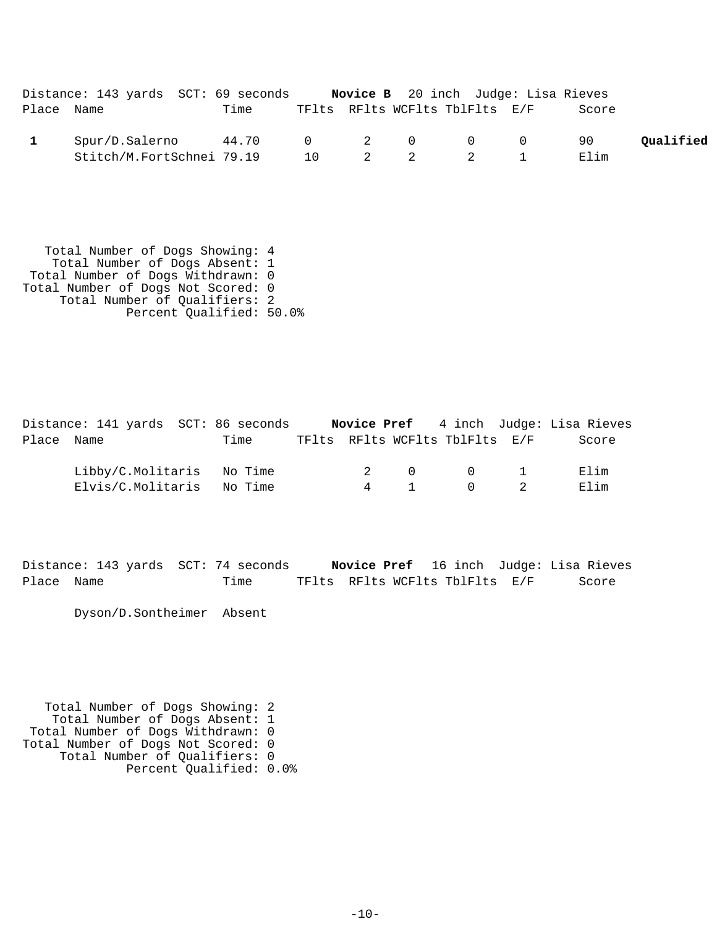|            | Distance: 143 yards SCT: 69 seconds |       |  | <b>Novice B</b> 20 inch Judge: Lisa Rieves |       |           |
|------------|-------------------------------------|-------|--|--------------------------------------------|-------|-----------|
| Place Name |                                     | Time  |  | TFlts RFlts WCFlts TblFlts E/F             | Score |           |
|            | Spur/D.Salerno                      | 44.70 |  |                                            | 90.   | Oualified |
|            | Stitch/M.FortSchnei 79.19           |       |  | 10 2 2 2 1                                 | Elim  |           |

 Total Number of Dogs Showing: 4 Total Number of Dogs Absent: 1 Total Number of Dogs Withdrawn: 0 Total Number of Dogs Not Scored: 0 Total Number of Qualifiers: 2 Percent Qualified: 50.0%

Distance: 141 yards SCT: 86 seconds **Novice Pref** 4 inch Judge: Lisa Rieves Place Name Time TFlts RFlts WCFlts TblFlts E/F Score Libby/C.Molitaris No Time  $2$  0 0 1 Elim Elvis/C.Molitaris No Time  $4$  1 0 2 Elim

Distance: 143 yards SCT: 74 seconds **Novice Pref** 16 inch Judge: Lisa Rieves Place Name Time TFlts RFlts WCFlts TblFlts E/F Score

Dyson/D.Sontheimer Absent

 Total Number of Dogs Showing: 2 Total Number of Dogs Absent: 1 Total Number of Dogs Withdrawn: 0 Total Number of Dogs Not Scored: 0 Total Number of Qualifiers: 0 Percent Qualified: 0.0%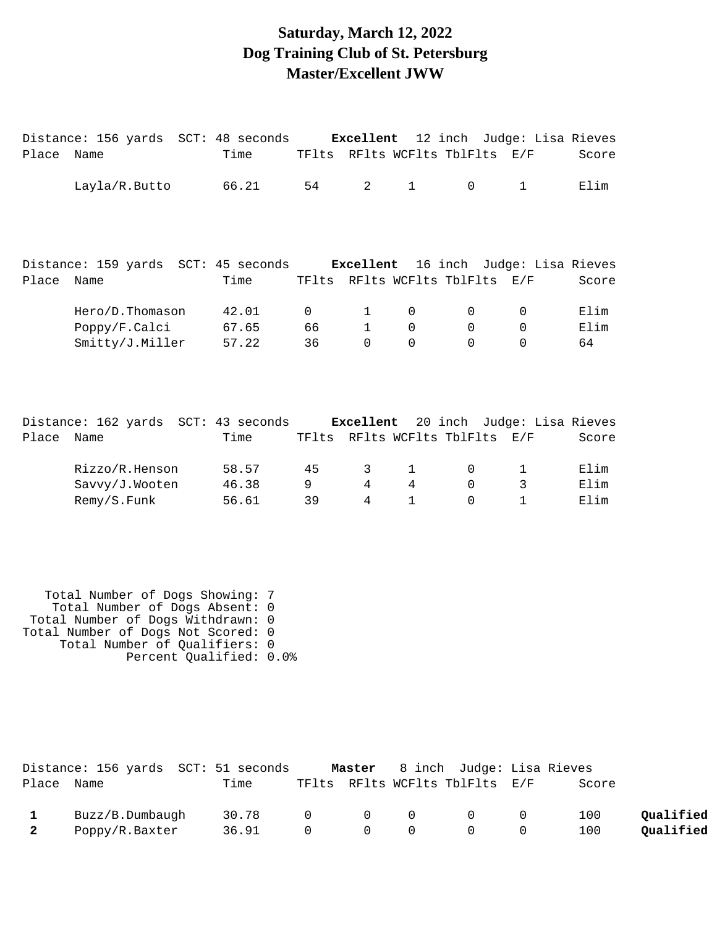### **Saturday, March 12, 2022 Dog Training Club of St. Petersburg Master/Excellent JWW**

|       | Distance: 156 yards SCT: 48 seconds Excellent 12 inch Judge: Lisa Rieves |       |          |                |              |                                |                            |       |
|-------|--------------------------------------------------------------------------|-------|----------|----------------|--------------|--------------------------------|----------------------------|-------|
| Place | Name                                                                     | Time  |          |                |              | TFlts RFlts WCFlts TblFlts E/F |                            | Score |
|       | Layla/R.Butto                                                            | 66.21 | 54       | $\overline{2}$ | $\mathbf{1}$ | $\mathbf 0$                    | $\mathbf{1}$               | Elim  |
|       | Distance: 159 yards SCT: 45 seconds Excellent                            |       |          |                |              |                                | 16 inch Judge: Lisa Rieves |       |
| Place | Name                                                                     | Time  |          |                |              | TFlts RFlts WCFlts TblFlts     | E/F                        | Score |
|       | Hero/D.Thomason                                                          | 42.01 | $\Omega$ | 1              | $\mathbf 0$  | 0                              | $\Omega$                   | Elim  |
|       | Poppy/F.Calci                                                            | 67.65 | 66       | $\mathbf{1}$   | $\mathbf 0$  | $\mathbf 0$                    | $\mathbf 0$                | Elim  |
|       | Smitty/J.Miller                                                          | 57.22 | 36       | $\Omega$       | $\Omega$     | $\Omega$                       | $\Omega$                   | 64    |
|       | Distance: 162 yards SCT: 43 seconds Excellent                            |       |          |                |              |                                | 20 inch Judge: Lisa Rieves |       |
| Place | Name                                                                     | Time  | TFlts    |                |              | RFlts WCFlts TblFlts           | E/F                        | Score |
|       | Rizzo/R.Henson                                                           | 58.57 | 45       | 3              | $\mathbf{1}$ | $\mathbf 0$                    | 1                          | Elim  |
|       | Savvy/J.Wooten                                                           | 46.38 | 9        | $\overline{4}$ | 4            | $\mathbf 0$                    | 3                          | Elim  |
|       | Remy/S.Funk                                                              | 56.61 | 39       | 4              | $\mathbf{1}$ | $\Omega$                       | $\mathbf{1}$               | Elim  |

 Total Number of Dogs Showing: 7 Total Number of Dogs Absent: 0 Total Number of Dogs Withdrawn: 0 Total Number of Dogs Not Scored: 0 Total Number of Qualifiers: 0 Percent Qualified: 0.0%

|                         | Distance: 156 yards SCT: 51 seconds |                 |  | Master 8 inch Judge: Lisa Rieves |       |           |
|-------------------------|-------------------------------------|-----------------|--|----------------------------------|-------|-----------|
| Place Name              |                                     | Time            |  | TFlts RFlts WCFlts TblFlts E/F   | Score |           |
|                         | Buzz/B.Dumbaugh                     | 30.78 0 0 0 0 0 |  |                                  | 100   | Oualified |
| $\overline{\mathbf{2}}$ | Poppy/R.Baxter                      | 36.91 0 0 0 0 0 |  |                                  | 100   | Qualified |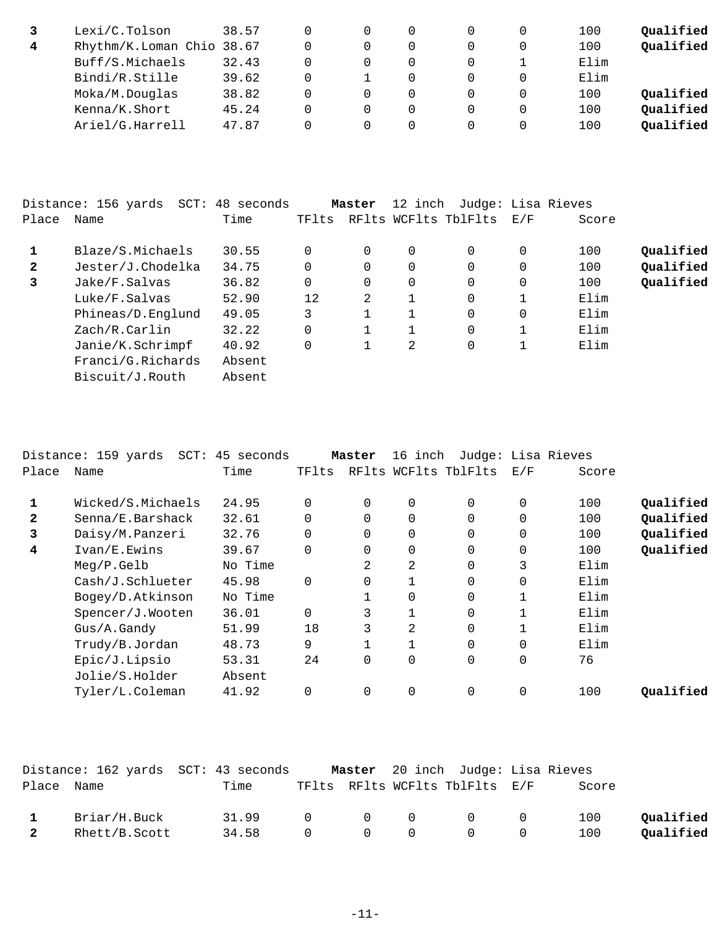|   | Lexi/C.Tolson             | 38.57 |  |   |  | 100  | Qualified |
|---|---------------------------|-------|--|---|--|------|-----------|
| 4 | Rhythm/K.Loman Chio 38.67 |       |  | 0 |  | 100  | Qualified |
|   | Buff/S.Michaels           | 32.43 |  | 0 |  | Elim |           |
|   | Bindi/R.Stille            | 39.62 |  | 0 |  | Elim |           |
|   | Moka/M.Douglas            | 38.82 |  | 0 |  | 100  | Qualified |
|   | Kenna/K.Short             | 45.24 |  | 0 |  | 100  | Qualified |
|   | Ariel/G.Harrell           | 47.87 |  | 0 |  | 100  | Qualified |

|              | Distance: 156 yards<br>SCT: | 48 seconds |       | Master   | 12 inch      | Judge: Lisa Rieves   |     |       |           |
|--------------|-----------------------------|------------|-------|----------|--------------|----------------------|-----|-------|-----------|
| Place        | Name                        | Time       | TFlts |          |              | RFlts WCFlts TblFlts | E/F | Score |           |
|              | Blaze/S.Michaels            | 30.55      |       | $\Omega$ | 0            | 0                    | 0   | 100   | Qualified |
| $\mathbf{2}$ | Jester/J.Chodelka           | 34.75      |       | $\Omega$ | $\Omega$     | 0                    | 0   | 100   | Qualified |
| 3            | Jake/F.Salvas               | 36.82      | 0     | $\Omega$ | $\Omega$     | $\Omega$             | 0   | 100   | Qualified |
|              | Luke/F.Salvas               | 52.90      | 12    | 2        | $\mathbf{1}$ | $\Omega$             |     | Elim  |           |
|              | Phineas/D.Englund           | 49.05      | 3     |          |              | 0                    | 0   | Elim  |           |
|              | Zach/R.Carlin               | 32.22      |       | 1        |              | 0                    |     | Elim  |           |
|              | Janie/K.Schrimpf            | 40.92      |       |          | 2            | 0                    |     | Elim  |           |
|              | Franci/G.Richards           | Absent     |       |          |              |                      |     |       |           |
|              | Biscuit/J.Routh             | Absent     |       |          |              |                      |     |       |           |

|              | Distance: 159 yards | SCT: 45 seconds |          | Master   | 16 inch        | Judge: Lisa Rieves   |             |       |           |
|--------------|---------------------|-----------------|----------|----------|----------------|----------------------|-------------|-------|-----------|
| Place        | Name                | Time            | TFlts    |          |                | RFlts WCFlts TblFlts | E/F         | Score |           |
| 1            | Wicked/S.Michaels   | 24.95           | $\Omega$ | $\Omega$ | $\Omega$       | $\Omega$             | 0           | 100   | Qualified |
| $\mathbf{2}$ | Senna/E.Barshack    | 32.61           |          | 0        | $\mathbf 0$    | $\Omega$             | $\Omega$    | 100   | Qualified |
| 3            | Daisy/M.Panzeri     | 32.76           |          | 0        | $\mathbf 0$    | 0                    | $\mathbf 0$ | 100   | Qualified |
| 4            | Ivan/E.Ewins        | 39.67           | $\Omega$ | $\Omega$ | 0              | $\Omega$             | $\mathbf 0$ | 100   | Qualified |
|              | Meq/P.Gelb          | No Time         |          | 2        | $\overline{2}$ | $\Omega$             | 3           | Elim  |           |
|              | Cash/J.Schlueter    | 45.98           | $\Omega$ | 0        |                | 0                    | 0           | Elim  |           |
|              | Bogey/D.Atkinson    | No Time         |          |          | $\Omega$       | $\Omega$             | 1           | Elim  |           |
|              | Spencer/J.Wooten    | 36.01           | $\Omega$ | 3        |                | $\Omega$             |             | Elim  |           |
|              | $Gus/A$ . Gandy     | 51.99           | 18       | 3        | 2              | $\Omega$             | 1           | Elim  |           |
|              | Trudy/B.Jordan      | 48.73           | 9        |          | $\mathbf{1}$   | $\Omega$             | $\Omega$    | Elim  |           |
|              | Epic/J.Lipsio       | 53.31           | 24       | 0        | 0              | 0                    | $\mathbf 0$ | 76    |           |
|              | Jolie/S.Holder      | Absent          |          |          |                |                      |             |       |           |
|              | Tyler/L.Coleman     | 41.92           |          | $\Omega$ | 0              | $\Omega$             | $\Omega$    | 100   | Oualified |
|              |                     |                 |          |          |                |                      |             |       |           |

|              |               | Distance: 162 yards SCT: 43 seconds |                                         |                                 | Master 20 inch Judge: Lisa Rieves          |       |           |
|--------------|---------------|-------------------------------------|-----------------------------------------|---------------------------------|--------------------------------------------|-------|-----------|
| Place Name   |               | Time                                |                                         |                                 | TFlts RFlts WCFlts TblFlts E/F             | Score |           |
| $\mathbf{1}$ | Briar/H.Buck  | 31.99                               | $\begin{matrix} 0 & 0 & 0 \end{matrix}$ |                                 | $\overline{0}$ 0                           | 100   | Oualified |
|              | Rhett/B.Scott | 34.58                               | $\overline{0}$                          | $\begin{matrix}0&0\end{matrix}$ | $\begin{array}{ccc} & & & 0 & \end{array}$ | 100   | Oualified |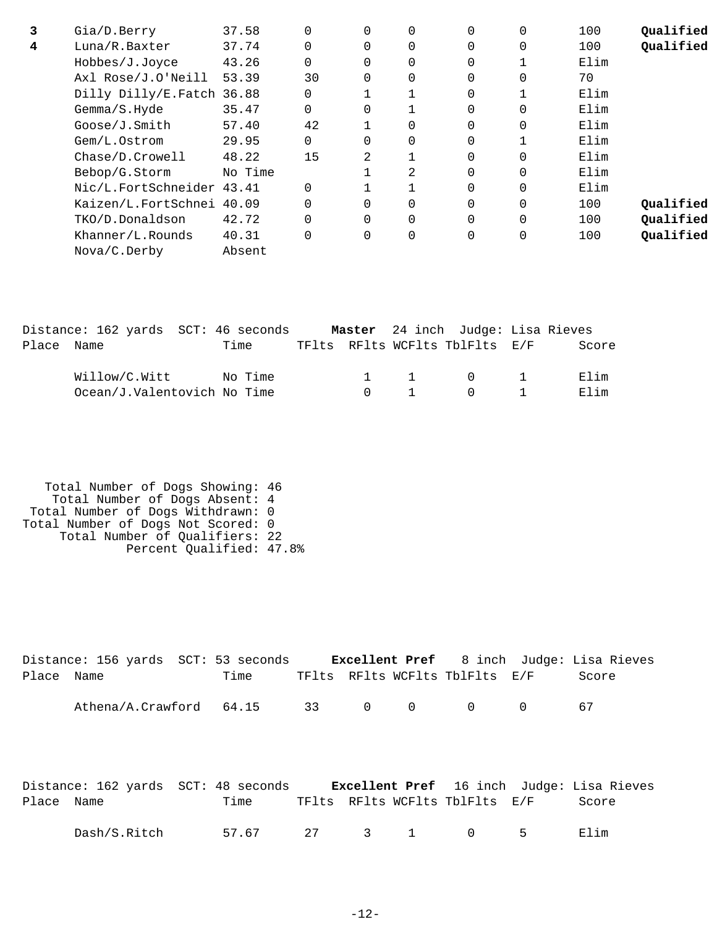| 3 | Gia/D.Berry               | 37.58   | $\Omega$ | $\Omega$ | $\Omega$       | $\Omega$ | $\Omega$ | 100  | Qualified |
|---|---------------------------|---------|----------|----------|----------------|----------|----------|------|-----------|
| 4 | Luna/R.Baxter             | 37.74   | $\Omega$ |          | 0              | $\Omega$ | $\Omega$ | 100  | Qualified |
|   | Hobbes/J.Joyce            | 43.26   | $\Omega$ | $\Omega$ | $\overline{0}$ | $\Omega$ |          | Elim |           |
|   | Axl Rose/J.O'Neill        | 53.39   | 30       | $\Omega$ | $\mathbf 0$    | $\Omega$ | $\Omega$ | 70   |           |
|   | Dilly Dilly/E.Fatch 36.88 |         | $\Omega$ |          |                | $\Omega$ |          | Elim |           |
|   | Gemma/S.Hyde              | 35.47   | $\Omega$ | $\Omega$ |                | $\Omega$ | $\Omega$ | Elim |           |
|   | Goose/J.Smith             | 57.40   | 42       |          | $\overline{0}$ | $\Omega$ | 0        | Elim |           |
|   | Gem/L.Ostrom              | 29.95   | $\Omega$ | 0        | $\mathbf 0$    | $\Omega$ |          | Elim |           |
|   | Chase/D.Crowell           | 48.22   | 15       | 2        |                | $\Omega$ | $\Omega$ | Elim |           |
|   | Bebop/G.Storm             | No Time |          |          | 2              | $\Omega$ | $\Omega$ | Elim |           |
|   | Nic/L.FortSchneider 43.41 |         | $\Omega$ |          |                | 0        | $\Omega$ | Elim |           |
|   | Kaizen/L.FortSchnei 40.09 |         | $\Omega$ |          | $\Omega$       | $\Omega$ | $\Omega$ | 100  | Oualified |
|   | TKO/D.Donaldson           | 42.72   | $\Omega$ | 0        | $\Omega$       | $\Omega$ | $\Omega$ | 100  | Qualified |
|   | Khanner/L.Rounds          | 40.31   | $\Omega$ | 0        | $\overline{0}$ | $\Omega$ | 0        | 100  | Qualified |
|   | Nova/C.Derby              | Absent  |          |          |                |          |          |      |           |

|            | Distance: 162 yards SCT: 46 seconds |         |        |              | Master 24 inch Judge: Lisa Rieves      |       |
|------------|-------------------------------------|---------|--------|--------------|----------------------------------------|-------|
| Place Name |                                     | Time    |        |              | TFlts RFlts WCFlts TblFlts E/F         | Score |
|            | Willow/C.Witt                       | No Time |        |              | 1 1 0 1                                | Elim  |
|            | Ocean/J.Valentovich No Time         |         | $\cap$ | $\mathbf{1}$ | $\begin{array}{ccc} 0 & 1 \end{array}$ | Flim  |

| Total Number of Dogs Showing: 46   |  |
|------------------------------------|--|
| Total Number of Dogs Absent: 4     |  |
| Total Number of Dogs Withdrawn: 0  |  |
| Total Number of Dogs Not Scored: 0 |  |
| Total Number of Qualifiers: 22     |  |
| Percent Qualified: 47.8%           |  |

|            | Distance: 156 yards SCT: 53 seconds |      |  |                                | <b>Excellent Pref</b> 8 inch Judge: Lisa Rieves |
|------------|-------------------------------------|------|--|--------------------------------|-------------------------------------------------|
| Place Name |                                     | Time |  | TFlts RFlts WCFlts TblFlts E/F | Score                                           |
|            | Athena/A.Crawford 64.15             |      |  | 33 0 0 0 0                     | 67                                              |

|            | Distance: 162 yards SCT: 48 seconds |                  |  |                                | <b>Excellent Pref</b> 16 inch Judge: Lisa Rieves |
|------------|-------------------------------------|------------------|--|--------------------------------|--------------------------------------------------|
| Place Name |                                     | Time             |  | TFlts RFlts WCFlts TblFlts E/F | Score                                            |
|            | Dash/S.Ritch                        | 57.67 27 3 1 0 5 |  |                                | Elim                                             |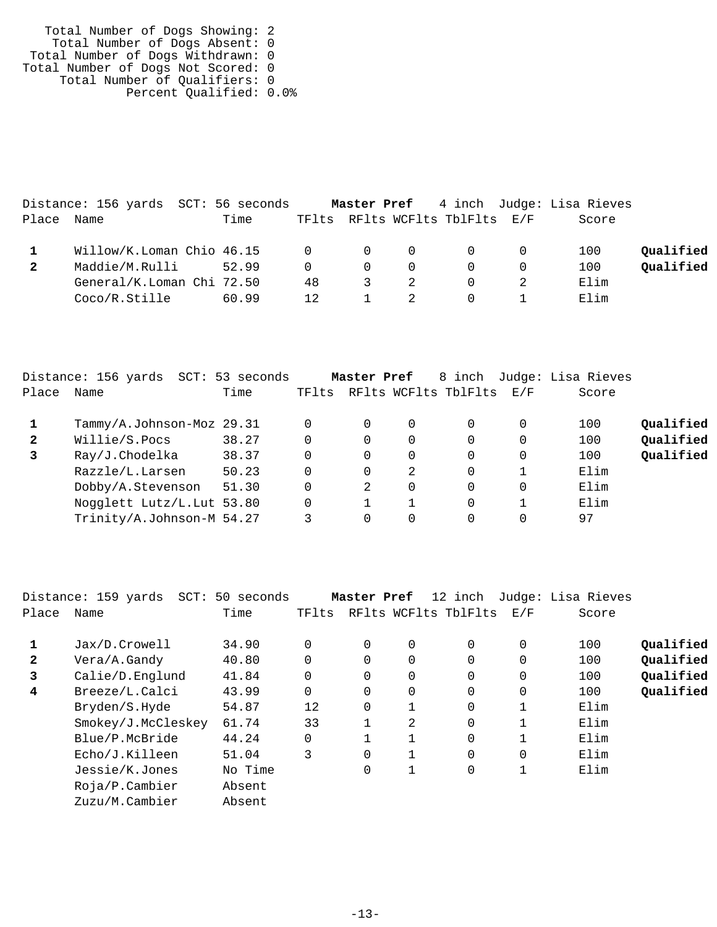| Total Number of Dogs Showing: 2    |  |
|------------------------------------|--|
| Total Number of Dogs Absent: 0     |  |
| Total Number of Dogs Withdrawn: 0  |  |
| Total Number of Dogs Not Scored: 0 |  |
| Total Number of Qualifiers: 0      |  |
| Percent Qualified: 0.0%            |  |

|       | Distance: 156 yards SCT: 56 seconds            |       |          |                         |                |                                |     | <b>Master Pref</b> 4 inch Judge: Lisa Rieves |           |
|-------|------------------------------------------------|-------|----------|-------------------------|----------------|--------------------------------|-----|----------------------------------------------|-----------|
| Place | Name                                           | Time  |          |                         |                | TFlts RFlts WCFlts TblFlts E/F |     | Score                                        |           |
|       | Willow/K.Loman Chio 46.15     0    0    0    0 |       |          |                         |                |                                | - 0 | 100                                          | Oualified |
|       | Maddie/M.Rulli                                 | 52.99 | $\Omega$ | $\Omega$                | $\Omega$       | $\Omega$                       |     | 100                                          | Qualified |
|       | General/K.Loman Chi 72.50                      |       | 48       | $\overline{\mathbf{3}}$ |                | $\Omega$                       |     | Elim                                         |           |
|       | Coco/R.Stille                                  | 60.99 | 12       |                         | $\overline{2}$ |                                |     | Elim                                         |           |

|              | Distance: 156 yards<br>SCT: | 53 seconds |          | Master Pref |             | 8 inch               |          | Judge: Lisa Rieves |           |
|--------------|-----------------------------|------------|----------|-------------|-------------|----------------------|----------|--------------------|-----------|
| Place        | Name                        | Time       | TFlts    |             |             | RFlts WCFlts TblFlts | E/F      | Score              |           |
|              | Tammy/A.Johnson-Moz 29.31   |            | 0        | $\Omega$    | $\mathbf 0$ | $\Omega$             | 0        | 100                | Qualified |
| $\mathbf{2}$ | Willie/S.Pocs               | 38.27      | 0        | $\Omega$    | 0           | $\Omega$             | 0        | 100                | Qualified |
| 3            | Ray/J.Chodelka              | 38.37      | 0        | $\Omega$    | 0           | $\Omega$             | 0        | 100                | Qualified |
|              | Razzle/L.Larsen             | 50.23      | 0        | 0           | 2           | $\Omega$             |          | Elim               |           |
|              | Dobby/A.Stevenson           | 51.30      | 0        | 2           | $\mathbf 0$ | $\Omega$             | $\Omega$ | Elim               |           |
|              | Nogglett Lutz/L. Lut 53.80  |            | $\Omega$ |             |             | $\Omega$             |          | Elim               |           |
|              | Trinity/A.Johnson-M 54.27   |            |          |             | 0           | 0                    | 0        | 97                 |           |

|              | Distance: 159 yards<br>$SCT$ : | 50 seconds |          | Master Pref |          | 12 inch              |          | Judge: Lisa Rieves |           |
|--------------|--------------------------------|------------|----------|-------------|----------|----------------------|----------|--------------------|-----------|
| Place        | Name                           | Time       | TFlts    |             |          | RFlts WCFlts TblFlts | E/F      | Score              |           |
|              | Jax/D.Crowell                  | 34.90      | $\Omega$ | 0           | 0        | $\Omega$             | 0        | 100                | Qualified |
| $\mathbf{2}$ | Vera/A.Gandy                   | 40.80      | $\Omega$ |             | $\Omega$ | $\Omega$             |          | 100                | Qualified |
| 3            | Calie/D.Englund                | 41.84      | $\Omega$ | $\Omega$    | $\Omega$ | $\Omega$             | $\Omega$ | 100                | Qualified |
| 4            | Breeze/L.Calci                 | 43.99      | $\Omega$ | $\Omega$    | $\Omega$ | $\Omega$             | $\Omega$ | 100                | Qualified |
|              | Bryden/S.Hyde                  | 54.87      | 12       | 0           | 1        | 0                    |          | Elim               |           |
|              | Smokey/J.McCleskey             | 61.74      | 33       |             | 2        | $\Omega$             |          | Elim               |           |
|              | Blue/P.McBride                 | 44.24      | 0        |             | 1        | $\Omega$             |          | Elim               |           |
|              | Echo/J.Killeen                 | 51.04      | 3        | 0           | 1        | $\Omega$             | $\Omega$ | Elim               |           |
|              | Jessie/K.Jones                 | No Time    |          | 0           | 1        | 0                    |          | Elim               |           |
|              | $Ro$ ja/P.Cambier              | Absent     |          |             |          |                      |          |                    |           |
|              | Zuzu/M.Cambier                 | Absent     |          |             |          |                      |          |                    |           |
|              |                                |            |          |             |          |                      |          |                    |           |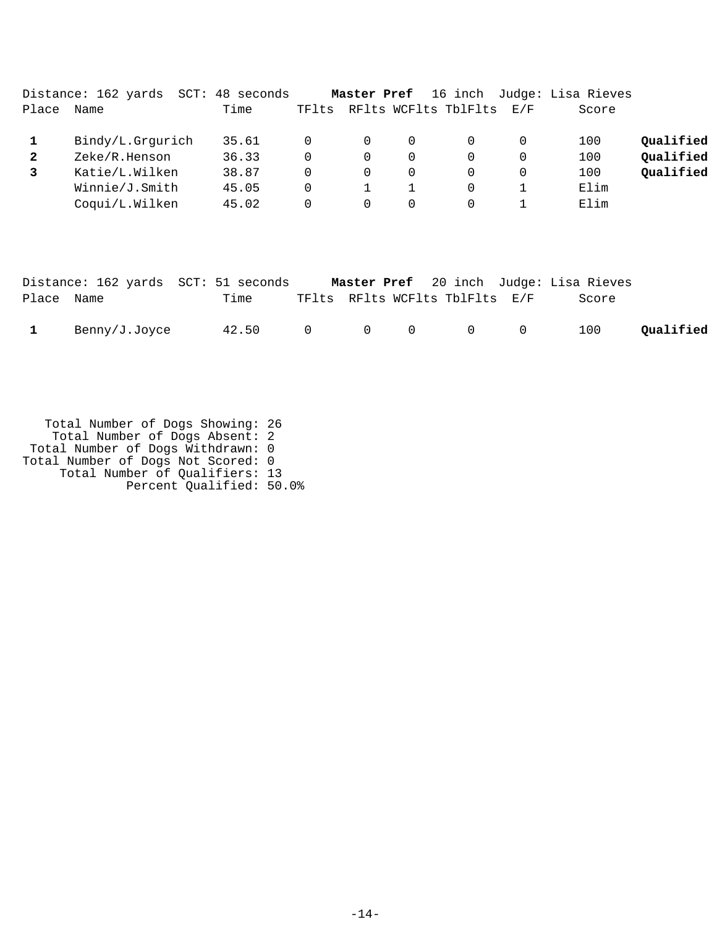|              | Distance: 162 yards<br>SCT: | 48 seconds |       | Master Pref |   | 16 inch              |          | Judge: Lisa Rieves |           |
|--------------|-----------------------------|------------|-------|-------------|---|----------------------|----------|--------------------|-----------|
| Place        | Name                        | Time       | TFlts |             |   | RFlts WCFlts TblFlts | E/F      | Score              |           |
|              | Bindy/L.Grgurich            | 35.61      |       | 0           | 0 |                      | $\Omega$ | 100                | Qualified |
| $\mathbf{2}$ | Zeke/R.Henson               | 36.33      |       | 0           | 0 |                      | $\Omega$ | 100                | Qualified |
|              | Katie/L.Wilken              | 38.87      |       | $\Omega$    | 0 |                      | $\Omega$ | 100                | Qualified |
|              | Winnie/J.Smith              | 45.05      |       |             |   |                      |          | Elim               |           |
|              | Coqui/L.Wilken              | 45.02      |       | $\Omega$    | 0 |                      |          | Elim               |           |
|              |                             |            |       |             |   |                      |          |                    |           |

|            |               | Distance: 162 yards SCT: 51 seconds |  |                                            | Master Pref 20 inch Judge: Lisa Rieves |           |
|------------|---------------|-------------------------------------|--|--------------------------------------------|----------------------------------------|-----------|
| Place Name |               | Time                                |  | TFlts RFlts WCFlts TblFlts E/F             | Score                                  |           |
|            | Benny/J.Joyce | 42.50 0 0 0                         |  | $\begin{array}{ccc} & & & 0 & \end{array}$ | 100                                    | Qualified |

| Total Number of Dogs Showing: 26   |  |
|------------------------------------|--|
| Total Number of Dogs Absent: 2     |  |
| Total Number of Dogs Withdrawn: 0  |  |
| Total Number of Dogs Not Scored: 0 |  |
| Total Number of Qualifiers: 13     |  |
| Percent Qualified: 50.0%           |  |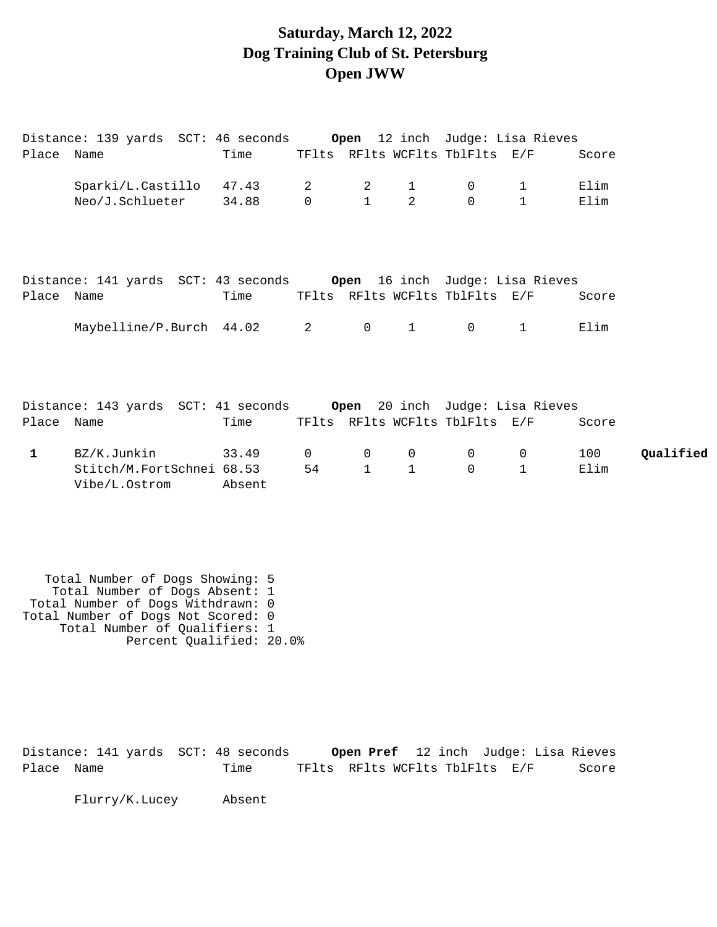### **Saturday, March 12, 2022 Dog Training Club of St. Petersburg Open JWW**

|              | Distance: 139 yards  SCT: 46 seconds <b>Open</b> 12 inch  Judge: Lisa Rieves |        |                                |                |              |                                |              |       |           |
|--------------|------------------------------------------------------------------------------|--------|--------------------------------|----------------|--------------|--------------------------------|--------------|-------|-----------|
| Place Name   |                                                                              | Time   |                                |                |              | TFlts RFlts WCFlts TblFlts E/F |              | Score |           |
|              | Sparki/L.Castillo 47.43                                                      |        | $\overline{2}$                 | $\overline{2}$ | $\mathbf{1}$ | $\overline{0}$                 | $\mathbf{1}$ | Elim  |           |
|              | Neo/J.Schlueter                                                              | 34.88  | $\mathsf{O}$                   | $\mathbf{1}$   | 2            | $\Omega$                       | $\mathbf 1$  | Elim  |           |
|              |                                                                              |        |                                |                |              |                                |              |       |           |
|              | Distance: 141 yards SCT: 43 seconds     Open 16 inch Judge: Lisa Rieves      |        |                                |                |              |                                |              |       |           |
| Place Name   |                                                                              | Time   |                                |                |              | TFlts RFlts WCFlts TblFlts E/F |              | Score |           |
|              | Maybelline/P.Burch 44.02                                                     |        | $2 \left( \frac{1}{2} \right)$ | $\mathsf{O}$   | $\mathbf{1}$ | $\Omega$                       | $\mathbf{1}$ | Elim  |           |
|              |                                                                              |        |                                |                |              |                                |              |       |           |
|              | Distance: 143 yards  SCT: 41 seconds <b>Open</b> 20 inch  Judge: Lisa Rieves |        |                                |                |              |                                |              |       |           |
| Place Name   |                                                                              | Time   |                                |                |              | TFlts RFlts WCFlts TblFlts E/F |              | Score |           |
| $\mathbf{1}$ | BZ/K.Junkin                                                                  | 33.49  | $\Omega$                       | $\mathbf 0$    | $\mathbf 0$  | $\overline{0}$                 | $\mathbf 0$  | 100   | Qualified |
|              | Stitch/M.FortSchnei 68.53<br>Vibe/L.Ostrom                                   | Absent | 54                             | $\mathbf{1}$   | $\mathbf{1}$ | $\Omega$                       | $\mathbf 1$  | Elim  |           |
|              |                                                                              |        |                                |                |              |                                |              |       |           |

 Total Number of Dogs Showing: 5 Total Number of Dogs Absent: 1 Total Number of Dogs Withdrawn: 0 Total Number of Dogs Not Scored: 0 Total Number of Qualifiers: 1 Percent Qualified: 20.0%

Distance: 141 yards SCT: 48 seconds **Open Pref** 12 inch Judge: Lisa Rieves Place Name Time TFlts RFlts WCFlts TblFlts E/F Score

Flurry/K.Lucey Absent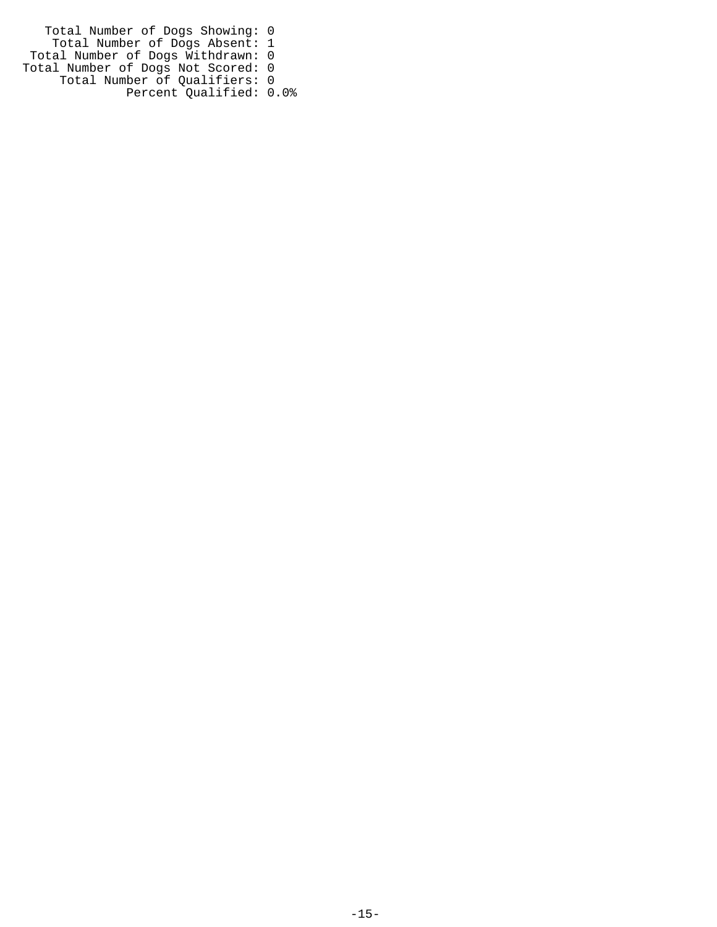Total Number of Dogs Showing: 0 Total Number of Dogs Absent: 1 Total Number of Dogs Withdrawn: 0 Total Number of Dogs Not Scored: 0 Total Number of Qualifiers: 0 Percent Qualified: 0.0%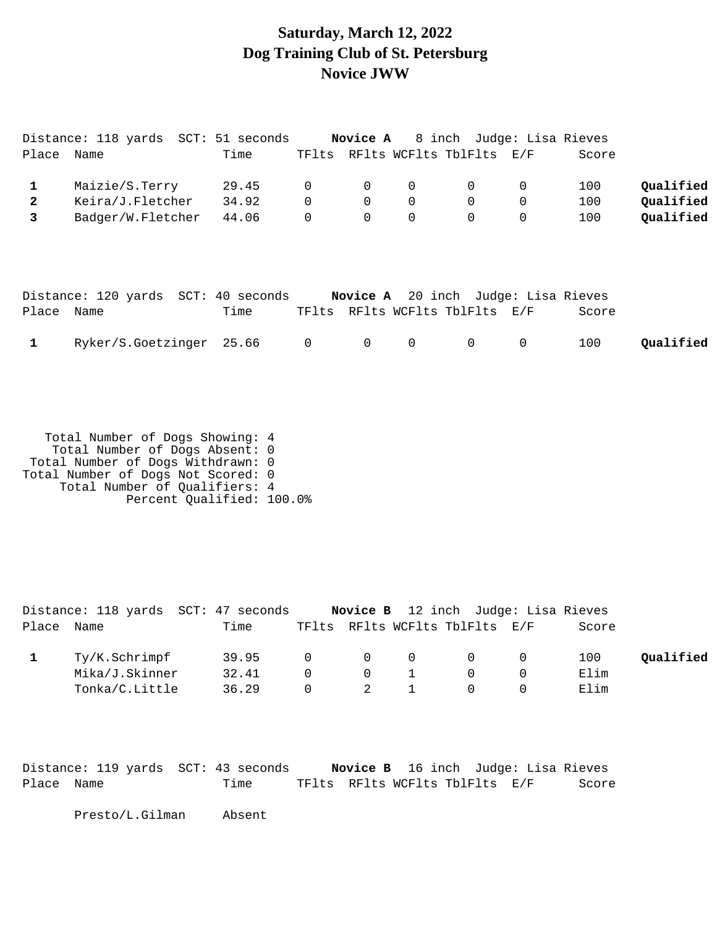### **Saturday, March 12, 2022 Dog Training Club of St. Petersburg Novice JWW**

| Place               | Distance: 118 yards SCT: 51 seconds<br>Name | Time           |                               | TFlts RFlts WCFlts TblFlts E/F |                  |                            |             | <b>Novice A</b> 8 inch Judge: Lisa Rieves<br>Score  |                        |
|---------------------|---------------------------------------------|----------------|-------------------------------|--------------------------------|------------------|----------------------------|-------------|-----------------------------------------------------|------------------------|
| 1<br>$\overline{a}$ | Maizie/S.Terry<br>Keira/J.Fletcher          | 29.45<br>34.92 | $\overline{0}$<br>$\mathbf 0$ | $\mathbf 0$<br>$\mathbf 0$     | 0<br>$\mathbf 0$ | $\mathbf 0$<br>$\mathbf 0$ | 0<br>0      | 100<br>100                                          | Qualified<br>Qualified |
| 3                   | Badger/W.Fletcher                           | 44.06          |                               | $\Omega$                       | $\Omega$         | $\Omega$                   | $\mathbf 0$ | 100                                                 | Qualified              |
|                     |                                             |                |                               |                                |                  |                            |             |                                                     |                        |
| Place               | Distance: 120 yards SCT: 40 seconds<br>Name | Time           | TFlts                         | RFlts WCFlts TblFlts E/F       |                  |                            |             | <b>Novice A</b> 20 inch Judge: Lisa Rieves<br>Score |                        |
|                     | Ryker/S.Goetzinger 25.66                    |                |                               | $\mathbf 0$                    | 0                | 0                          | 0           | 100                                                 | Qualified              |

 Total Number of Dogs Showing: 4 Total Number of Dogs Absent: 0 Total Number of Dogs Withdrawn: 0 Total Number of Dogs Not Scored: 0 Total Number of Qualifiers: 4 Percent Qualified: 100.0%

|            |                | Distance: 118 yards SCT: 47 seconds |          |                |     | <b>Novice B</b> 12 inch Judge: Lisa Rieves |       |           |
|------------|----------------|-------------------------------------|----------|----------------|-----|--------------------------------------------|-------|-----------|
| Place Name |                | Time                                |          |                |     | TFlts RFlts WCFlts TblFlts E/F             | Score |           |
|            | Ty/K.Schrimpf  | 39.95                               | $\Omega$ | $\overline{0}$ | - 0 | $\cap$                                     | 100   | Oualified |
|            | Mika/J.Skinner | 32.41                               | $\Omega$ | $\overline{0}$ |     |                                            | Elim  |           |
|            | Tonka/C.Little | 36.29                               | $\Omega$ | 2              |     |                                            | Elim  |           |

|            | Distance: 119 yards SCT: 43 seconds |                                | <b>Novice B</b> 16 inch Judge: Lisa Rieves |       |
|------------|-------------------------------------|--------------------------------|--------------------------------------------|-------|
| Place Name | Time                                | TFlts RFlts WCFlts TblFlts E/F |                                            | Score |

Presto/L.Gilman Absent